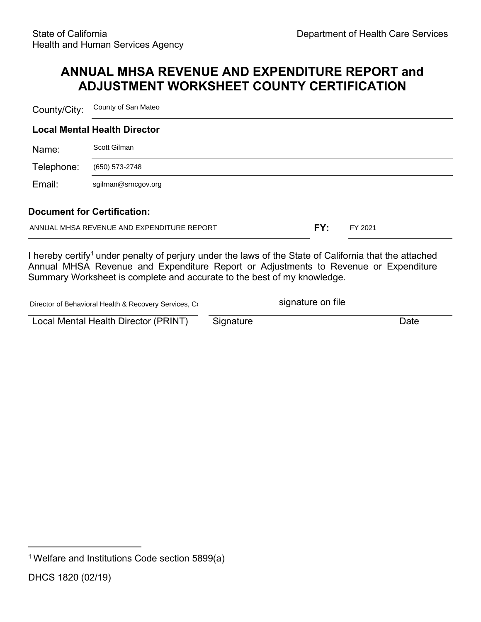## **ANNUAL MHSA REVENUE AND EXPENDITURE REPORT and ADJUSTMENT WORKSHEET COUNTY CERTIFICATION**

County/City: County of San Mateo

|            | <b>Local Mental Health Director</b> |  |  |  |  |  |
|------------|-------------------------------------|--|--|--|--|--|
| Name:      | Scott Gilman                        |  |  |  |  |  |
| Telephone: | (650) 573-2748                      |  |  |  |  |  |
| Email:     | sgilrnan@srncgov.org                |  |  |  |  |  |

#### **Document for Certification:**

| ANNUAL MHSA REVENUE AND EXPENDITURE REPORT | FY:<br>FY 2021 |
|--------------------------------------------|----------------|
|--------------------------------------------|----------------|

I hereby certify<sup>1</sup> under penalty of perjury under the laws of the State of California that the attached Annual MHSA Revenue and Expenditure Report or Adjustments to Revenue or Expenditure Summary Worksheet is complete and accurate to the best of my knowledge.

| Director of Behavioral Health & Recovery Services, Co |           | signature on file |      |
|-------------------------------------------------------|-----------|-------------------|------|
| Local Mental Health Director (PRINT)                  | Signature |                   | Date |

<sup>&</sup>lt;sup>1</sup> Welfare and Institutions Code section 5899(a)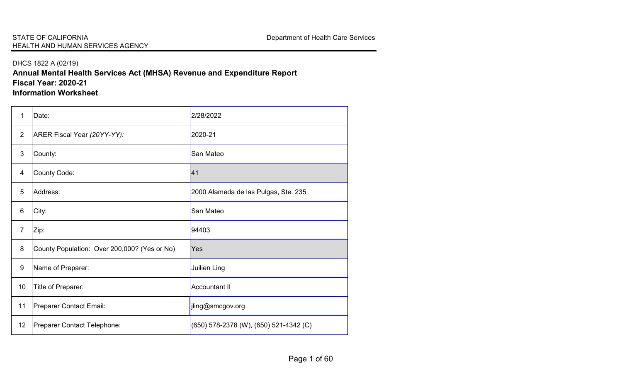#### DHCS 1822 A (02/19)

**Annual Mental Health Services Act (MHSA) Revenue and Expenditure Report Fiscal Year: 2020-21 Information Worksheet**

| 1              | Date:                                        | 2/28/2022                              |
|----------------|----------------------------------------------|----------------------------------------|
| $\overline{2}$ | ARER Fiscal Year (20YY-YY):                  | 2020-21                                |
| $\mathfrak{S}$ | County:                                      | San Mateo                              |
| $\overline{4}$ | <b>County Code:</b>                          | 41                                     |
| 5              | Address:                                     | 2000 Alameda de las Pulgas, Ste. 235   |
| 6              | City:                                        | San Mateo                              |
| $\overline{7}$ | Zip:                                         | 94403                                  |
| 8              | County Population: Over 200,000? (Yes or No) | Yes                                    |
| 9              | Name of Preparer:                            | <b>Juilien Ling</b>                    |
| 10             | Title of Preparer:                           | <b>Accountant II</b>                   |
| 11             | Preparer Contact Email:                      | jling@smcgov.org                       |
| 12             | Preparer Contact Telephone:                  | (650) 578-2378 (W), (650) 521-4342 (C) |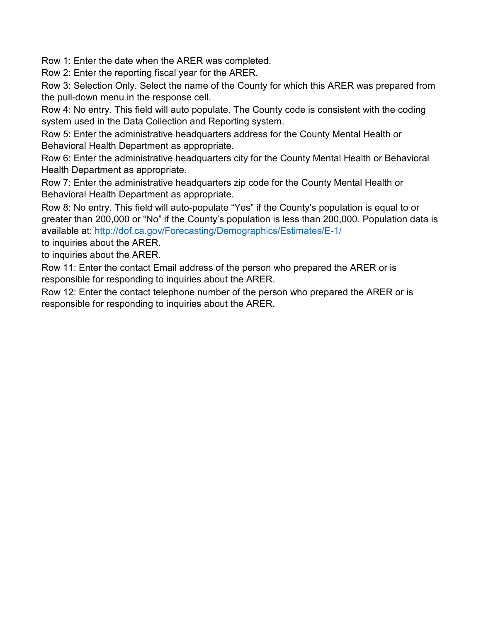Row 1: Enter the date when the ARER was completed.

Row 2: Enter the reporting fiscal year for the ARER.

Row 3: Selection Only. Select the name of the County for which this ARER was prepared from the pull-down menu in the response cell.

Row 4: No entry. This field will auto populate. The County code is consistent with the coding system used in the Data Collection and Reporting system.

Row 5: Enter the administrative headquarters address for the County Mental Health or Behavioral Health Department as appropriate.

Row 6: Enter the administrative headquarters city for the County Mental Health or Behavioral Health Department as appropriate.

Row 7: Enter the administrative headquarters zip code for the County Mental Health or Behavioral Health Department as appropriate.

Row 8: No entry. This field will auto-populate "Yes" if the County's population is equal to or greater than 200,000 or "No" if the County's population is less than 200,000. Population data is available at: http://dof.ca.gov/Forecasting/Demographics/Estimates/E-1/

to inquiries about the ARER.

to inquiries about the ARER.

Row 11: Enter the contact Email address of the person who prepared the ARER or is responsible for responding to inquiries about the ARER.

Row 12: Enter the contact telephone number of the person who prepared the ARER or is responsible for responding to inquiries about the ARER.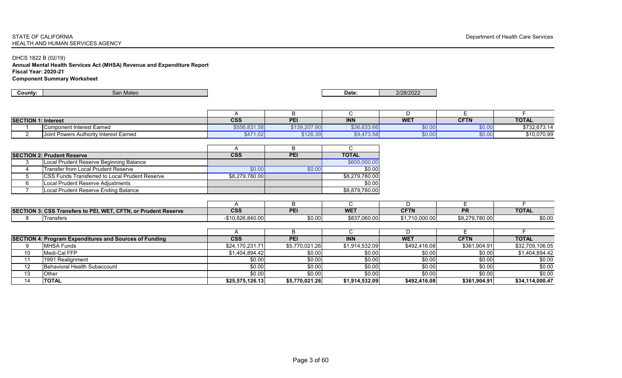### STATE OF CALIFORNIA Department of Health Care Services HEALTH AND HUMAN SERVICES AGENCY

#### DHCS 1822 B (02/19) **Annual Mental Health Services Act (MHSA) Revenue and Expenditure Report Fiscal Year: 2020-21 Component Summary Worksheet**

| <b>SECTION 1:</b><br>1: Interest |                                        | <b>CSS</b>                  | <b>PFI</b>   | <b>INN</b>  | <b>WET</b> | <b>CETN</b><br>VE IN | <b>TOTAL</b> |
|----------------------------------|----------------------------------------|-----------------------------|--------------|-------------|------------|----------------------|--------------|
|                                  | Component Interest Earned              | \$556,831.58 <mark>1</mark> | \$139,207.90 | \$36,633.66 | 60.00      | \$0.0 <sub>0</sub>   | \$732,673.14 |
|                                  | Joint Powers Authority Interest Earned | \$471<br>1.02               | \$126.39     | \$9,473.58  | \$0.00     | \$0.00               | \$10,070.99  |

| <b>SECTION 2: Prudent Reserve</b>                      | <b>CSS</b>     | <b>PEI</b> | <b>TOTAL</b>   |
|--------------------------------------------------------|----------------|------------|----------------|
| Local Prudent Reserve Beginning Balance                |                |            | \$600,000.00]  |
| <b>Transfer from Local Prudent Reserve</b>             | \$0.00         | \$0.00     | \$0.00         |
| <b>ICSS Funds Transferred to Local Prudent Reserve</b> | \$8,279,780.00 |            | \$8,279,780.00 |
| Local Prudent Reserve Adjustments                      |                |            | \$0.00         |
| Local Prudent Reserve Ending Balance                   |                |            | \$8,879,780.00 |

| <b>SECTION 3:</b><br>. . | 3: CSS Transfers to PEI, WET, CFTN, or Prudent Reserve | ccc<br>ႱჂჂ        | <b>DEI</b> | <b>WET</b>   | <b>CFTN</b>    | <b>DD</b><br>гв | <b>TOTAL</b> |
|--------------------------|--------------------------------------------------------|-------------------|------------|--------------|----------------|-----------------|--------------|
|                          | I ransters                                             | $-$10,826,840.00$ | \$0.00     | \$837,060.00 | \$1,710,000.00 | \$8,279,780.00  | \$0.00       |

| SECTION 4: Program Expenditures and Sources of Funding |                              | <b>CSS</b>      | <b>PEI</b>     | <b>INN</b>     | <b>WE1</b>   | <b>CFTN</b>  | <b>TOTAL</b>    |
|--------------------------------------------------------|------------------------------|-----------------|----------------|----------------|--------------|--------------|-----------------|
|                                                        | MHSA Funds                   | \$24,170,231.71 | \$5,770,021.26 | \$1,914,532.09 | \$492,416.08 | \$361,904.91 | \$32,709,106.05 |
| 10                                                     | Medi-Cal FFP                 | \$1,404,894.42  | \$0.00         | \$0.00         | \$0.00       | \$0.00       | \$1,404,894.42  |
|                                                        | 1991 Realignment             | \$0.00          | \$0.00         | \$0.00         | \$0.00       | \$0.00       | \$0.00          |
| 12                                                     | Behavioral Health Subaccount | \$0.00          | \$0.00         | \$0.00         | \$0.00       | \$0.00       | \$0.00          |
| 13                                                     | Other                        | \$0.00          | \$0.00         | \$0.00         | \$0.00       | \$0.00       | \$0.00          |
| 14                                                     | 'TOTAL                       | \$25,575,126.13 | \$5,770,021.26 | \$1,914,532.09 | \$492,416.08 | \$361,904.91 | \$34,114,000.47 |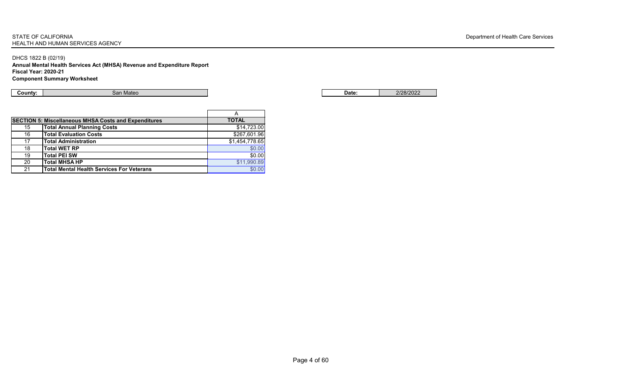### STATE OF CALIFORNIA Department of Health Care Services HEALTH AND HUMAN SERVICES AGENCY

DHCS 1822 B (02/19) **Annual Mental Health Services Act (MHSA) Revenue and Expenditure Report Fiscal Year: 2020-21 Component Summary Worksheet**

**County:** Network: Network: Network: San Mateo San Mateo San Date: 2/28/2022 Pate: 2/28/2022

|    |                                                             | $\overline{A}$ |
|----|-------------------------------------------------------------|----------------|
|    | <b>SECTION 5: Miscellaneous MHSA Costs and Expenditures</b> | <b>TOTAL</b>   |
| 15 | <b>Total Annual Planning Costs</b>                          | \$14,723.00    |
| 16 | <b>Total Evaluation Costs</b>                               | \$267,601.96   |
| 17 | <b>Total Administration</b>                                 | \$1,454,778.65 |
| 18 | <b>Total WET RP</b>                                         | \$0.00         |
| 19 | <b>Total PEI SW</b>                                         | \$0.00         |
| 20 | <b>Total MHSA HP</b>                                        | \$11,990.89    |
| 21 | <b>Total Mental Health Services For Veterans</b>            | \$0.00         |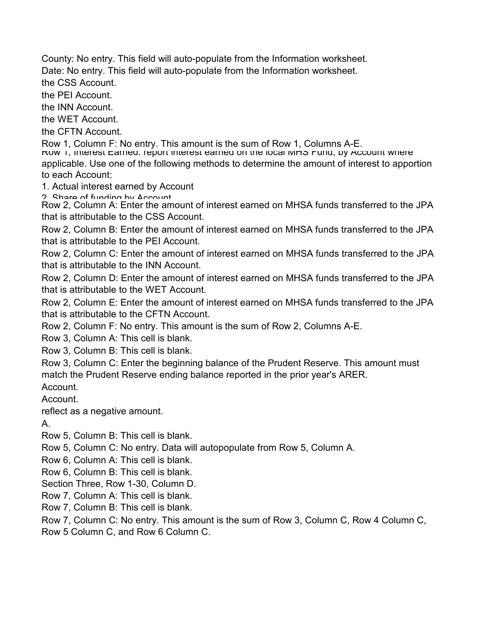County: No entry. This field will auto-populate from the Information worksheet.

Date: No entry. This field will auto-populate from the Information worksheet.

the CSS Account.

the PEI Account.

the INN Account.

the WET Account.

the CFTN Account.

Row 1, Column F: No entry. This amount is the sum of Row 1, Columns A-E.<br>Row 1, Interest Earneg: report interest earned on the local MHS Fung, by Account where

applicable. Use one of the following methods to determine the amount of interest to apportion to each Account:

1. Actual interest earned by Account

2 Share of funding by Account

Row 2, Column A: Enter the amount of interest earned on MHSA funds transferred to the JPA that is attributable to the CSS Account.

Row 2, Column B: Enter the amount of interest earned on MHSA funds transferred to the JPA that is attributable to the PEI Account.

Row 2, Column C: Enter the amount of interest earned on MHSA funds transferred to the JPA that is attributable to the INN Account.

Row 2, Column D: Enter the amount of interest earned on MHSA funds transferred to the JPA that is attributable to the WET Account.

Row 2, Column E: Enter the amount of interest earned on MHSA funds transferred to the JPA that is attributable to the CFTN Account.

Row 2, Column F: No entry. This amount is the sum of Row 2, Columns A-E.

Row 3, Column A: This cell is blank.

Row 3, Column B: This cell is blank.

Row 3, Column C: Enter the beginning balance of the Prudent Reserve. This amount must match the Prudent Reserve ending balance reported in the prior year's ARER.

Account.

Account.

reflect as a negative amount.

A.

Row 5, Column B: This cell is blank.

Row 5, Column C: No entry. Data will autopopulate from Row 5, Column A.

Row 6, Column A: This cell is blank.

Row 6, Column B: This cell is blank.

Section Three, Row 1-30, Column D.

Row 7, Column A: This cell is blank.

Row 7, Column B: This cell is blank.

Row 7, Column C: No entry. This amount is the sum of Row 3, Column C, Row 4 Column C,

Row 5 Column C, and Row 6 Column C.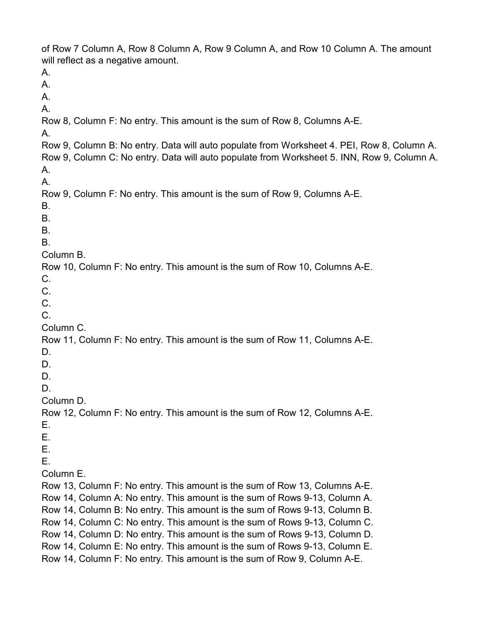of Row 7 Column A, Row 8 Column A, Row 9 Column A, and Row 10 Column A. The amount will reflect as a negative amount. A. A. A. A. Row 8, Column F: No entry. This amount is the sum of Row 8, Columns A-E. A. Row 9, Column B: No entry. Data will auto populate from Worksheet 4. PEI, Row 8, Column A. Row 9, Column C: No entry. Data will auto populate from Worksheet 5. INN, Row 9, Column A. A. A. Row 9, Column F: No entry. This amount is the sum of Row 9, Columns A-E. B. B. B. B. Column B. Row 10, Column F: No entry. This amount is the sum of Row 10, Columns A-E. C. C. C. C. Column C. Row 11, Column F: No entry. This amount is the sum of Row 11, Columns A-E. D. D. D. D. Column D. Row 12, Column F: No entry. This amount is the sum of Row 12, Columns A-E. E. E. E. E. Column E. Row 13, Column F: No entry. This amount is the sum of Row 13, Columns A-E. Row 14, Column A: No entry. This amount is the sum of Rows 9-13, Column A. Row 14, Column B: No entry. This amount is the sum of Rows 9-13, Column B. Row 14, Column C: No entry. This amount is the sum of Rows 9-13, Column C. Row 14, Column D: No entry. This amount is the sum of Rows 9-13, Column D. Row 14, Column E: No entry. This amount is the sum of Rows 9-13, Column E. Row 14, Column F: No entry. This amount is the sum of Row 9, Column A-E.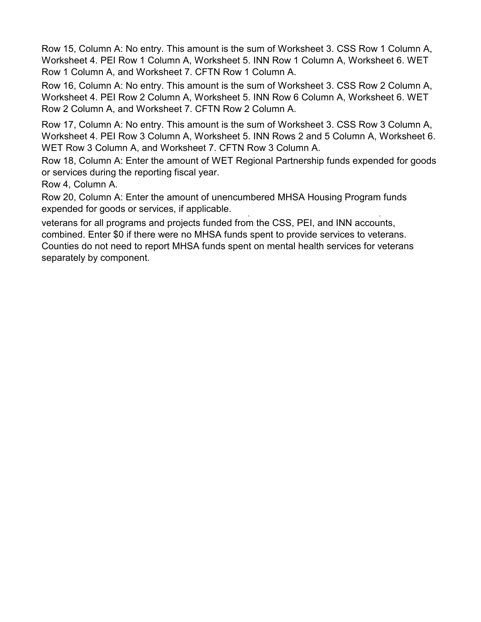Row 15, Column A: No entry. This amount is the sum of Worksheet 3. CSS Row 1 Column A, Worksheet 4. PEI Row 1 Column A, Worksheet 5. INN Row 1 Column A, Worksheet 6. WET Row 1 Column A, and Worksheet 7. CFTN Row 1 Column A.

Row 16, Column A: No entry. This amount is the sum of Worksheet 3. CSS Row 2 Column A, Worksheet 4. PEI Row 2 Column A, Worksheet 5. INN Row 6 Column A, Worksheet 6. WET Row 2 Column A, and Worksheet 7. CFTN Row 2 Column A.

Row 17, Column A: No entry. This amount is the sum of Worksheet 3. CSS Row 3 Column A, Worksheet 4. PEI Row 3 Column A, Worksheet 5. INN Rows 2 and 5 Column A, Worksheet 6. WET Row 3 Column A, and Worksheet 7. CFTN Row 3 Column A.

Row 18, Column A: Enter the amount of WET Regional Partnership funds expended for goods or services during the reporting fiscal year.

Row 4, Column A.

Row 20, Column A: Enter the amount of unencumbered MHSA Housing Program funds expended for goods or services, if applicable.

veterans for all programs and projects funded from the CSS, PEI, and INN accounts, combined. Enter \$0 if there were no MHSA funds spent to provide services to veterans. Counties do not need to report MHSA funds spent on mental health services for veterans separately by component.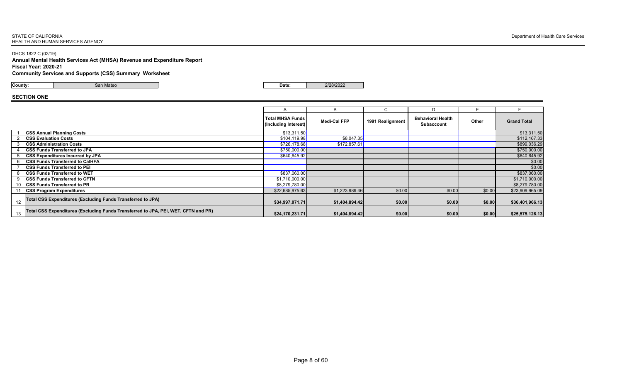DHCS 1822 C (02/19)

**Annual Mental Health Services Act (MHSA) Revenue and Expenditure Report Fiscal Year: 2020-21 Community Services and Supports (CSS) Summary Worksheet**

**County:** San Mateo **Date:** 2/28/2022

# **SECTION ONE**

|    |                                                                                    |                                                 | B                   |                  |                                               |              |                    |
|----|------------------------------------------------------------------------------------|-------------------------------------------------|---------------------|------------------|-----------------------------------------------|--------------|--------------------|
|    |                                                                                    | <b>Total MHSA Funds</b><br>(Including Interest) | <b>Medi-Cal FFP</b> | 1991 Realignment | <b>Behavioral Health</b><br><b>Subaccount</b> | <b>Other</b> | <b>Grand Total</b> |
|    | <b>CSS Annual Planning Costs</b>                                                   | \$13,311.50                                     |                     |                  |                                               |              | \$13,311.50        |
|    | <b>CSS Evaluation Costs</b>                                                        | \$104,119.98                                    | \$8,047.35          |                  |                                               |              | \$112,167.33       |
|    | <b>CSS Administration Costs</b>                                                    | \$726,178.68                                    | \$172,857.61        |                  |                                               |              | \$899,036.29       |
|    | <b>CSS Funds Transferred to JPA</b>                                                | \$750,000.00                                    |                     |                  |                                               |              | \$750,000.00       |
|    | <b>CSS Expenditures Incurred by JPA</b>                                            | \$640,645.92]                                   |                     |                  |                                               |              | \$640,645.92       |
| 6  | <b>CSS Funds Transferred to CalHFA</b>                                             |                                                 |                     |                  |                                               |              | \$0.00             |
|    | <b>CSS Funds Transferred to PEI</b>                                                |                                                 |                     |                  |                                               |              | \$0.00             |
| 8  | <b>CSS Funds Transferred to WET</b>                                                | \$837,060.00                                    |                     |                  |                                               |              | \$837,060.00       |
| 9  | <b>CSS Funds Transferred to CFTN</b>                                               | \$1,710,000.00                                  |                     |                  |                                               |              | \$1,710,000.00     |
|    | 10   CSS Funds Transferred to PR                                                   | \$8,279,780.00                                  |                     |                  |                                               |              | \$8,279,780.00     |
|    | <b>CSS Program Expenditures</b>                                                    | \$22,685,975.63                                 | \$1,223,989.46      | \$0.00           | \$0.00                                        | \$0.00       | \$23,909,965.09    |
| 12 | Total CSS Expenditures (Excluding Funds Transferred to JPA)                        | \$34,997,071.71                                 | \$1,404,894.42      | \$0.00           | \$0.00                                        | \$0.00       | \$36,401,966.13    |
| 13 | Total CSS Expenditures (Excluding Funds Transferred to JPA, PEI, WET, CFTN and PR) | \$24,170,231.71                                 | \$1,404,894.42      | \$0.00           | \$0.00                                        | \$0.00       | \$25,575,126.13    |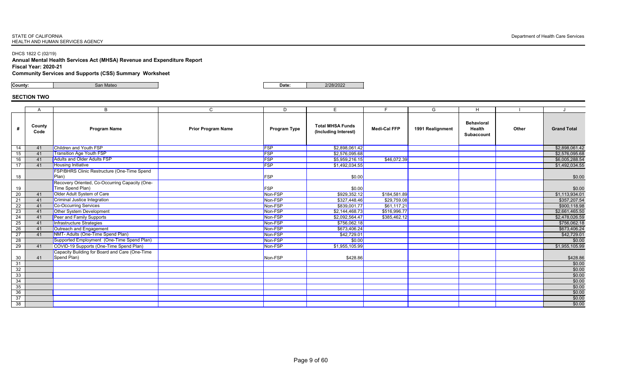DHCS 1822 C (02/19)

**Annual Mental Health Services Act (MHSA) Revenue and Expenditure Report Fiscal Year: 2020-21**

**Community Services and Supports (CSS) Summary Worksheet**

**County:** San Mateo **Date:** 2/28/2022

# **SECTION TWO**

|                 | $\mathsf{A}$   | B                                              | $\mathsf{C}$              | D                   | E.                                              |                     | G                | H.                                                      |              |                    |
|-----------------|----------------|------------------------------------------------|---------------------------|---------------------|-------------------------------------------------|---------------------|------------------|---------------------------------------------------------|--------------|--------------------|
|                 | County<br>Code | <b>Program Name</b>                            | <b>Prior Program Name</b> | <b>Program Type</b> | <b>Total MHSA Funds</b><br>(Including Interest) | <b>Medi-Cal FFP</b> | 1991 Realignment | <b>Behavioral</b><br><b>Health</b><br><b>Subaccount</b> | <b>Other</b> | <b>Grand Total</b> |
| 14              | 41             | <b>Children and Youth FSP</b>                  |                           | <b>FSP</b>          | \$2,898,061.42                                  |                     |                  |                                                         |              | \$2,898,061.42     |
| 15 <sub>1</sub> | 41             | <b>Transition Age Youth FSP</b>                |                           | FSP                 | \$2,576,095.68                                  |                     |                  |                                                         |              | \$2,576,095.68     |
| 16              | 41             | <b>Adults and Older Adults FSP</b>             |                           | FSP                 | \$5,959,216.15                                  | \$46,072.39         |                  |                                                         |              | \$6,005,288.54     |
| 17              | 41             | <b>Housing Initiative</b>                      |                           | <b>FSP</b>          | \$1,492,034.55                                  |                     |                  |                                                         |              | \$1,492,034.55     |
|                 |                | FSP/BHRS Clinic Restructure (One-Time Spend    |                           |                     |                                                 |                     |                  |                                                         |              |                    |
| 18              |                | Plan)                                          |                           | FSP                 | \$0.00]                                         |                     |                  |                                                         |              | \$0.00             |
|                 |                | Recovery Oriented, Co-Occurring Capacity (One- |                           |                     |                                                 |                     |                  |                                                         |              |                    |
| 19              |                | Time Spend Plan)                               |                           | FSP                 | \$0.00                                          |                     |                  |                                                         |              | \$0.00             |
| 20              | 41             | Older Adult System of Care                     |                           | Non-FSP             | \$929,352.12                                    | \$184,581.89        |                  |                                                         |              | \$1,113,934.01     |
| 21              | 41             | <b>Criminal Justice Integration</b>            |                           | Non-FSP             | \$327,448.46                                    | \$29,759.08         |                  |                                                         |              | \$357,207.54       |
| 22              | 41             | <b>Co-Occurring Services</b>                   |                           | Non-FSP             | \$839,001.77                                    | \$61,117.21         |                  |                                                         |              | \$900,118.98       |
| 23              | 41             | <b>Other System Development</b>                |                           | Non-FSP             | \$2,144,468.73                                  | \$516,996.77        |                  |                                                         |              | \$2,661,465.50     |
| 24              | 41             | <b>Peer and Family Supports</b>                |                           | Non-FSP             | \$2,092,564.47                                  | \$385,462.12        |                  |                                                         |              | \$2,478,026.59     |
| 25              | 41             | Infrastructure Strategies                      |                           | Non-FSP             | \$756,062.18                                    |                     |                  |                                                         |              | \$756,062.18       |
| 26              | 41             | Outreach and Engagement                        |                           | Non-FSP             | \$673,406.24                                    |                     |                  |                                                         |              | \$673,406.24       |
| 27              | 41             | NMT- Adults (One-Time Spend Plan)              |                           | Non-FSP             | \$42,729.01                                     |                     |                  |                                                         |              | \$42,729.01        |
| 28              |                | Supported Employment (One-Time Spend Plan)     |                           | Non-FSP             | \$0.00                                          |                     |                  |                                                         |              | \$0.00             |
| 29              | 41             | COVID-19 Supports (One-Time Spend Plan)        |                           | Non-FSP             | \$1,955,105.99                                  |                     |                  |                                                         |              | \$1,955,105.99     |
|                 |                | Capacity Building for Board and Care (One-Time |                           |                     |                                                 |                     |                  |                                                         |              |                    |
| 30              | 41             | Spend Plan)                                    |                           | Non-FSP             | \$428.86                                        |                     |                  |                                                         |              | \$428.86           |
| 31              |                |                                                |                           |                     |                                                 |                     |                  |                                                         |              | \$0.00             |
| $\overline{32}$ |                |                                                |                           |                     |                                                 |                     |                  |                                                         |              | \$0.00             |
| 33              |                |                                                |                           |                     |                                                 |                     |                  |                                                         |              | \$0.00             |
| 34              |                |                                                |                           |                     |                                                 |                     |                  |                                                         |              | \$0.00             |
| 35              |                |                                                |                           |                     |                                                 |                     |                  |                                                         |              | \$0.00             |
| 36              |                |                                                |                           |                     |                                                 |                     |                  |                                                         |              | \$0.00             |
| 37              |                |                                                |                           |                     |                                                 |                     |                  |                                                         |              | \$0.00             |
| 38              |                |                                                |                           |                     |                                                 |                     |                  |                                                         |              | \$0.00             |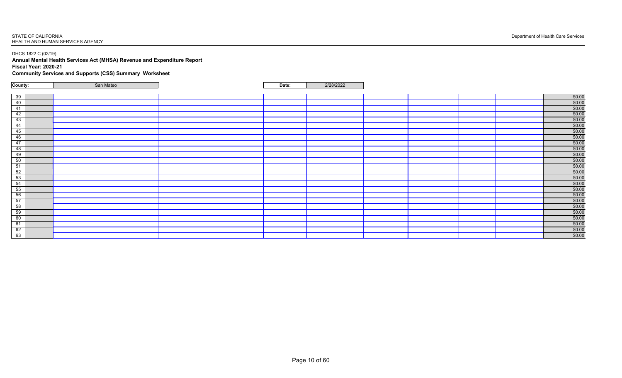DHCS 1822 C (02/19)

**Annual Mental Health Services Act (MHSA) Revenue and Expenditure Report Fiscal Year: 2020-21 Community Services and Supports (CSS) Summary Worksheet**

| County: | San Mateo | Date: | 2/28/2022 |  |                       |
|---------|-----------|-------|-----------|--|-----------------------|
|         |           |       |           |  |                       |
| 39      |           |       |           |  | $\frac{$0.00}{$0.00}$ |
| 40      |           |       |           |  |                       |
| 41      |           |       |           |  | \$0.00                |
| 42      |           |       |           |  | $\frac{$0.00}{$0.00}$ |
| 43      |           |       |           |  |                       |
| 44      |           |       |           |  |                       |
| 45      |           |       |           |  | $\frac{$0.00}{$0.00}$ |
| 46      |           |       |           |  | \$0.00                |
| 47      |           |       |           |  | \$0.00                |
| 48      |           |       |           |  | $\frac{$0.00}{$0.00}$ |
| 49      |           |       |           |  |                       |
| 50      |           |       |           |  |                       |
| 51      |           |       |           |  | $\frac{$0.00}{$0.00}$ |
| 52      |           |       |           |  |                       |
| 53      |           |       |           |  | $$0.00$<br>$$0.00$    |
| 54      |           |       |           |  |                       |
| 55      |           |       |           |  | \$0.00                |
| 56      |           |       |           |  | $\frac{$0.00}{$0.00}$ |
| 57      |           |       |           |  |                       |
| 58      |           |       |           |  | \$0.00                |
| 59      |           |       |           |  |                       |
| 60      |           |       |           |  | $\frac{$0.00}{$0.00}$ |
| 61      |           |       |           |  | $\frac{$0.00}{$0.00}$ |
| 62      |           |       |           |  |                       |
| 63      |           |       |           |  | \$0.00                |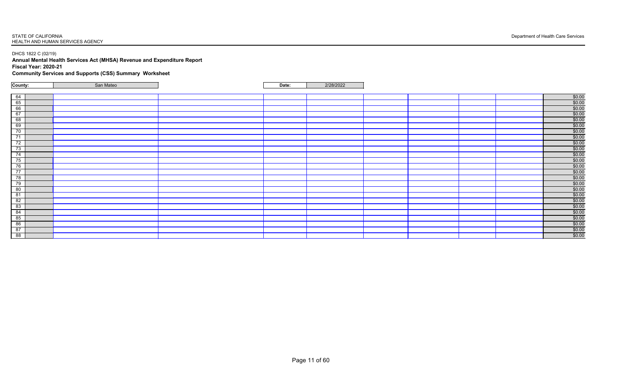DHCS 1822 C (02/19)

**Annual Mental Health Services Act (MHSA) Revenue and Expenditure Report Fiscal Year: 2020-21 Community Services and Supports (CSS) Summary Worksheet**

| \$0.00<br>\$0.00<br>\$0.00<br>$\frac{$0.00}{$0.00}$<br>\$0.00<br>\$0.00<br>\$0.00<br>\$0.00<br>\$0.00<br>$\frac{$0.00}{$0.00}$<br>$\frac{$0.00}{$0.00}$<br>\$0.00<br>\$0.00<br>\$0.00<br>$\frac{$0.00}{$0.00}$<br>\$0.00<br>$\frac{$0.00}{$0.00}$<br>$\frac{$0.00}{$0.00}$ | County: | San Mateo | Date: | 2/28/2022 |  |                |
|----------------------------------------------------------------------------------------------------------------------------------------------------------------------------------------------------------------------------------------------------------------------------|---------|-----------|-------|-----------|--|----------------|
|                                                                                                                                                                                                                                                                            |         |           |       |           |  |                |
|                                                                                                                                                                                                                                                                            |         |           |       |           |  |                |
|                                                                                                                                                                                                                                                                            |         |           |       |           |  |                |
|                                                                                                                                                                                                                                                                            |         |           |       |           |  |                |
|                                                                                                                                                                                                                                                                            |         |           |       |           |  |                |
|                                                                                                                                                                                                                                                                            |         |           |       |           |  |                |
|                                                                                                                                                                                                                                                                            |         |           |       |           |  |                |
|                                                                                                                                                                                                                                                                            |         |           |       |           |  |                |
|                                                                                                                                                                                                                                                                            |         |           |       |           |  |                |
|                                                                                                                                                                                                                                                                            |         |           |       |           |  |                |
|                                                                                                                                                                                                                                                                            |         |           |       |           |  |                |
|                                                                                                                                                                                                                                                                            |         |           |       |           |  |                |
|                                                                                                                                                                                                                                                                            |         |           |       |           |  |                |
|                                                                                                                                                                                                                                                                            |         |           |       |           |  |                |
|                                                                                                                                                                                                                                                                            |         |           |       |           |  |                |
|                                                                                                                                                                                                                                                                            |         |           |       |           |  |                |
|                                                                                                                                                                                                                                                                            |         |           |       |           |  |                |
|                                                                                                                                                                                                                                                                            |         |           |       |           |  |                |
|                                                                                                                                                                                                                                                                            |         |           |       |           |  |                |
|                                                                                                                                                                                                                                                                            |         |           |       |           |  |                |
|                                                                                                                                                                                                                                                                            |         |           |       |           |  |                |
|                                                                                                                                                                                                                                                                            |         |           |       |           |  |                |
|                                                                                                                                                                                                                                                                            |         |           |       |           |  |                |
|                                                                                                                                                                                                                                                                            |         |           |       |           |  |                |
|                                                                                                                                                                                                                                                                            |         |           |       |           |  |                |
|                                                                                                                                                                                                                                                                            |         |           |       |           |  | $\frac{1}{00}$ |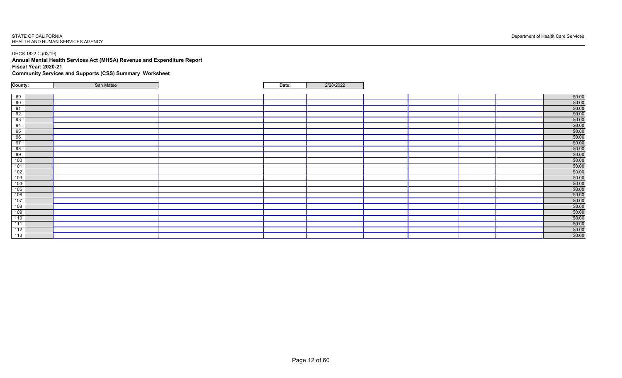DHCS 1822 C (02/19)

**Annual Mental Health Services Act (MHSA) Revenue and Expenditure Report Fiscal Year: 2020-21 Community Services and Supports (CSS) Summary Worksheet**

| County:                                                                                                                                                                                                              | San Mateo | Date: | 2/28/2022 |  |                       |
|----------------------------------------------------------------------------------------------------------------------------------------------------------------------------------------------------------------------|-----------|-------|-----------|--|-----------------------|
|                                                                                                                                                                                                                      |           |       |           |  |                       |
| 89                                                                                                                                                                                                                   |           |       |           |  | $$0.00$<br>$$0.00$    |
|                                                                                                                                                                                                                      |           |       |           |  |                       |
|                                                                                                                                                                                                                      |           |       |           |  | \$0.00                |
| $\begin{array}{r} \n \overline{90} \\  \hline\n 91 \\  \hline\n 92 \\  \hline\n 93 \\  \hline\n 94\n \end{array}$                                                                                                    |           |       |           |  | $\frac{$0.00}{$0.00}$ |
|                                                                                                                                                                                                                      |           |       |           |  |                       |
|                                                                                                                                                                                                                      |           |       |           |  | $\frac{$0.00}{$0.00}$ |
| $\frac{95}{96}$                                                                                                                                                                                                      |           |       |           |  |                       |
|                                                                                                                                                                                                                      |           |       |           |  | \$0.00                |
| 97                                                                                                                                                                                                                   |           |       |           |  | \$0.00                |
| 98                                                                                                                                                                                                                   |           |       |           |  | \$0.00                |
| 99                                                                                                                                                                                                                   |           |       |           |  | \$0.00                |
| 100                                                                                                                                                                                                                  |           |       |           |  | \$0.00                |
|                                                                                                                                                                                                                      |           |       |           |  |                       |
|                                                                                                                                                                                                                      |           |       |           |  | $\frac{$0.00}{$0.00}$ |
|                                                                                                                                                                                                                      |           |       |           |  | $$0.00$<br>$$0.00$    |
|                                                                                                                                                                                                                      |           |       |           |  |                       |
|                                                                                                                                                                                                                      |           |       |           |  | \$0.00                |
|                                                                                                                                                                                                                      |           |       |           |  | $\frac{$0.00}{$0.00}$ |
|                                                                                                                                                                                                                      |           |       |           |  |                       |
|                                                                                                                                                                                                                      |           |       |           |  | \$0.00                |
|                                                                                                                                                                                                                      |           |       |           |  | $\frac{$0.00}{$0.00}$ |
|                                                                                                                                                                                                                      |           |       |           |  |                       |
| $\begin{array}{r} 101 \\ \hline 102 \\ \hline 103 \\ \hline 104 \\ \hline 105 \\ \hline 106 \\ \hline 107 \\ \hline 108 \\ \hline 109 \\ \hline 110 \\ \hline 111 \\ \hline 112 \\ \hline 113 \\ \hline \end{array}$ |           |       |           |  | $\frac{$0.00}{$0.00}$ |
|                                                                                                                                                                                                                      |           |       |           |  |                       |
|                                                                                                                                                                                                                      |           |       |           |  | \$0.00                |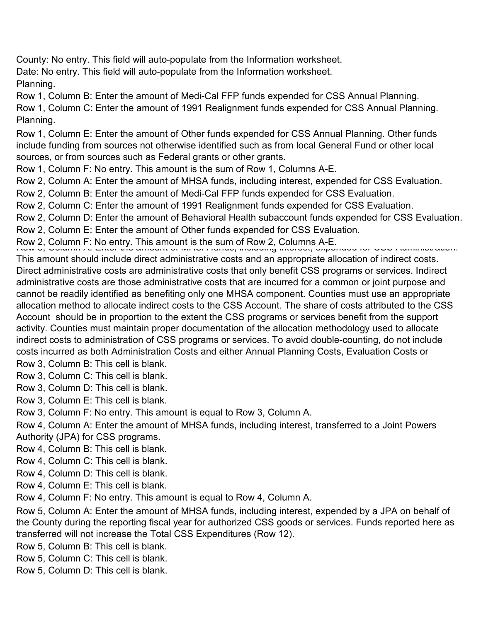County: No entry. This field will auto-populate from the Information worksheet.

Date: No entry. This field will auto-populate from the Information worksheet.

Planning.

Row 1, Column B: Enter the amount of Medi-Cal FFP funds expended for CSS Annual Planning.

Row 1, Column C: Enter the amount of 1991 Realignment funds expended for CSS Annual Planning. Planning.

Row 1, Column E: Enter the amount of Other funds expended for CSS Annual Planning. Other funds include funding from sources not otherwise identified such as from local General Fund or other local sources, or from sources such as Federal grants or other grants.

Row 1, Column F: No entry. This amount is the sum of Row 1, Columns A-E.

Row 2, Column A: Enter the amount of MHSA funds, including interest, expended for CSS Evaluation.

Row 2, Column B: Enter the amount of Medi-Cal FFP funds expended for CSS Evaluation.

Row 2, Column C: Enter the amount of 1991 Realignment funds expended for CSS Evaluation.

Row 2, Column D: Enter the amount of Behavioral Health subaccount funds expended for CSS Evaluation.

Row 2, Column E: Enter the amount of Other funds expended for CSS Evaluation.

Row 2, Column F: No entry. This amount is the sum of Row 2, Columns A-E.<br>Row 3, Column A: Enter the amount of MHSA funds, including interest, expen

This amount should include direct administrative costs and an appropriate allocation of indirect costs. Direct administrative costs are administrative costs that only benefit CSS programs or services. Indirect administrative costs are those administrative costs that are incurred for a common or joint purpose and cannot be readily identified as benefiting only one MHSA component. Counties must use an appropriate allocation method to allocate indirect costs to the CSS Account. The share of costs attributed to the CSS Account should be in proportion to the extent the CSS programs or services benefit from the support activity. Counties must maintain proper documentation of the allocation methodology used to allocate indirect costs to administration of CSS programs or services. To avoid double-counting, do not include costs incurred as both Administration Costs and either Annual Planning Costs, Evaluation Costs or Row 3, Column B: This cell is blank.

Row 3, Column C: This cell is blank.

Row 3, Column D: This cell is blank.

Row 3, Column E: This cell is blank.

Row 3, Column F: No entry. This amount is equal to Row 3, Column A.

Row 4, Column A: Enter the amount of MHSA funds, including interest, transferred to a Joint Powers Authority (JPA) for CSS programs.

Row 4, Column B: This cell is blank.

Row 4, Column C: This cell is blank.

Row 4, Column D: This cell is blank.

Row 4, Column E: This cell is blank.

Row 4, Column F: No entry. This amount is equal to Row 4, Column A.

Row 5, Column A: Enter the amount of MHSA funds, including interest, expended by a JPA on behalf of the County during the reporting fiscal year for authorized CSS goods or services. Funds reported here as transferred will not increase the Total CSS Expenditures (Row 12).

Row 5, Column B: This cell is blank.

Row 5, Column C: This cell is blank.

Row 5, Column D: This cell is blank.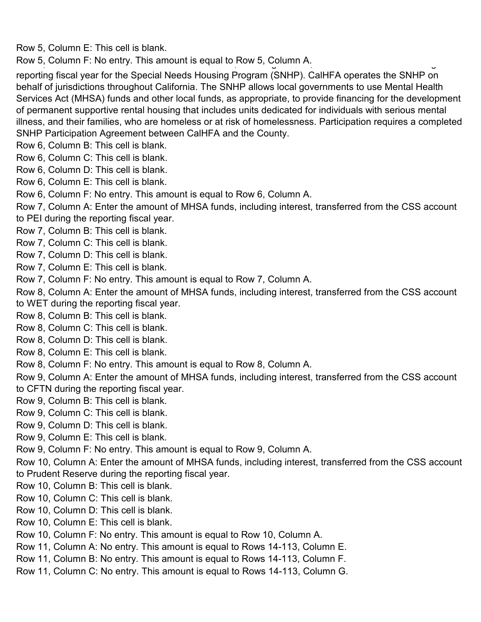Row 5, Column E: This cell is blank.

Row 5, Column F: No entry. This amount is equal to Row 5, Column A.

reporting fiscal year for the Special Needs Housing Program (SNHP). CalHFA operates the SNHP on behalf of jurisdictions throughout California. The SNHP allows local governments to use Mental Health Services Act (MHSA) funds and other local funds, as appropriate, to provide financing for the development of permanent supportive rental housing that includes units dedicated for individuals with serious mental illness, and their families, who are homeless or at risk of homelessness. Participation requires a completed SNHP Participation Agreement between CalHFA and the County.

- Row 6, Column B: This cell is blank.
- Row 6, Column C: This cell is blank.
- Row 6, Column D: This cell is blank.
- Row 6, Column E: This cell is blank.
- Row 6, Column F: No entry. This amount is equal to Row 6, Column A.
- Row 7, Column A: Enter the amount of MHSA funds, including interest, transferred from the CSS account
- to PEI during the reporting fiscal year.
- Row 7, Column B: This cell is blank.
- Row 7, Column C: This cell is blank.
- Row 7, Column D: This cell is blank.
- Row 7, Column E: This cell is blank.
- Row 7, Column F: No entry. This amount is equal to Row 7, Column A.
- Row 8, Column A: Enter the amount of MHSA funds, including interest, transferred from the CSS account to WET during the reporting fiscal year.
- Row 8, Column B: This cell is blank.
- Row 8, Column C: This cell is blank.
- Row 8, Column D: This cell is blank.
- Row 8, Column E: This cell is blank.
- Row 8, Column F: No entry. This amount is equal to Row 8, Column A.

Row 9, Column A: Enter the amount of MHSA funds, including interest, transferred from the CSS account to CFTN during the reporting fiscal year.

- Row 9, Column B: This cell is blank.
- Row 9, Column C: This cell is blank.
- Row 9, Column D: This cell is blank.
- Row 9, Column E: This cell is blank.

Row 9, Column F: No entry. This amount is equal to Row 9, Column A.

Row 10, Column A: Enter the amount of MHSA funds, including interest, transferred from the CSS account to Prudent Reserve during the reporting fiscal year.

- Row 10, Column B: This cell is blank.
- Row 10, Column C: This cell is blank.
- Row 10, Column D: This cell is blank.
- Row 10, Column E: This cell is blank.
- Row 10, Column F: No entry. This amount is equal to Row 10, Column A.
- Row 11, Column A: No entry. This amount is equal to Rows 14-113, Column E.
- Row 11, Column B: No entry. This amount is equal to Rows 14-113, Column F.
- Row 11, Column C: No entry. This amount is equal to Rows 14-113, Column G.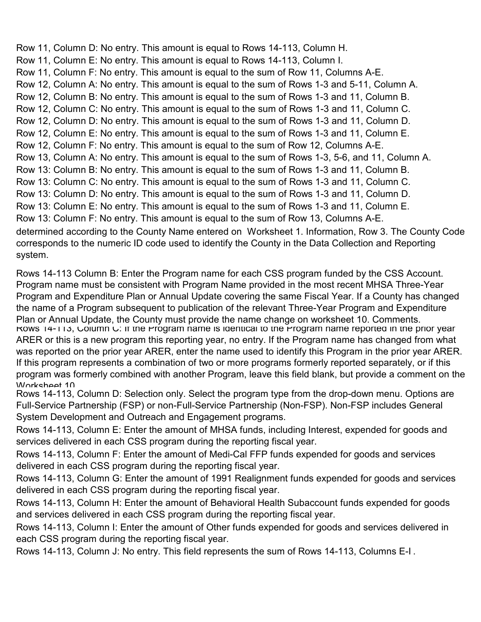Row 11, Column D: No entry. This amount is equal to Rows 14-113, Column H. Row 11, Column E: No entry. This amount is equal to Rows 14-113, Column I. Row 11, Column F: No entry. This amount is equal to the sum of Row 11, Columns A-E. Row 12, Column A: No entry. This amount is equal to the sum of Rows 1-3 and 5-11, Column A. Row 12, Column B: No entry. This amount is equal to the sum of Rows 1-3 and 11, Column B. Row 12, Column C: No entry. This amount is equal to the sum of Rows 1-3 and 11, Column C. Row 12, Column D: No entry. This amount is equal to the sum of Rows 1-3 and 11, Column D. Row 12, Column E: No entry. This amount is equal to the sum of Rows 1-3 and 11, Column E. Row 12, Column F: No entry. This amount is equal to the sum of Row 12, Columns A-E. Row 13, Column A: No entry. This amount is equal to the sum of Rows 1-3, 5-6, and 11, Column A. Row 13: Column B: No entry. This amount is equal to the sum of Rows 1-3 and 11, Column B. Row 13: Column C: No entry. This amount is equal to the sum of Rows 1-3 and 11, Column C. Row 13: Column D: No entry. This amount is equal to the sum of Rows 1-3 and 11, Column D. Row 13: Column E: No entry. This amount is equal to the sum of Rows 1-3 and 11, Column E. Row 13: Column F: No entry. This amount is equal to the sum of Row 13, Columns A-E. determined according to the County Name entered on Worksheet 1. Information, Row 3. The County Code corresponds to the numeric ID code used to identify the County in the Data Collection and Reporting system.

Rows 14-113 Column B: Enter the Program name for each CSS program funded by the CSS Account. Program name must be consistent with Program Name provided in the most recent MHSA Three-Year Program and Expenditure Plan or Annual Update covering the same Fiscal Year. If a County has changed the name of a Program subsequent to publication of the relevant Three-Year Program and Expenditure Plan or Annual Update, the County must provide the name change on worksheet 10. Comments. Rows 14-113, Column C: If the Program name is identical to the Program name reported in the prior year ARER or this is a new program this reporting year, no entry. If the Program name has changed from what was reported on the prior year ARER, enter the name used to identify this Program in the prior year ARER. If this program represents a combination of two or more programs formerly reported separately, or if this program was formerly combined with another Program, leave this field blank, but provide a comment on the Worksheet 10

Rows 14-113, Column D: Selection only. Select the program type from the drop-down menu. Options are Full-Service Partnership (FSP) or non-Full-Service Partnership (Non-FSP). Non-FSP includes General System Development and Outreach and Engagement programs.

Rows 14-113, Column E: Enter the amount of MHSA funds, including Interest, expended for goods and services delivered in each CSS program during the reporting fiscal year.

Rows 14-113, Column F: Enter the amount of Medi-Cal FFP funds expended for goods and services delivered in each CSS program during the reporting fiscal year.

Rows 14-113, Column G: Enter the amount of 1991 Realignment funds expended for goods and services delivered in each CSS program during the reporting fiscal year.

Rows 14-113, Column H: Enter the amount of Behavioral Health Subaccount funds expended for goods and services delivered in each CSS program during the reporting fiscal year.

Rows 14-113, Column I: Enter the amount of Other funds expended for goods and services delivered in each CSS program during the reporting fiscal year.

Rows 14-113, Column J: No entry. This field represents the sum of Rows 14-113, Columns E-I .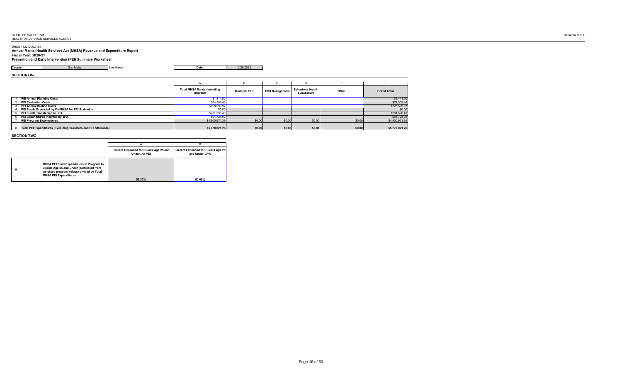# DHCS 1822 D (02/19)

**Annual Mental Health Services Act (MHSA) Revenue and Expenditure Report Fiscal Year: 2020-21 Prevention and Early Intervention (PEI) Summary Worksheet**

**County:** San Mateo San Mateo **Date:** 2/28/2022

**SECTION ONE**

|                                                                | <b>Total MHSA Funds (Including</b><br>Interest) | <b>Medi-Cal FFP</b> | 1991 Realignment | <b>Behavioral Health</b><br><b>Subaccount</b> | Other  | <b>Grand Total</b> |
|----------------------------------------------------------------|-------------------------------------------------|---------------------|------------------|-----------------------------------------------|--------|--------------------|
| <b>PEI Annual Planning Costs</b>                               | \$1,411.50                                      |                     |                  |                                               |        | \$1,411.50         |
| <b>PEI Evaluation Costs</b>                                    | \$74,309.48                                     |                     |                  |                                               |        | \$74,309.48        |
| <b>PEI Administration Costs</b>                                | \$728,599.97                                    |                     |                  |                                               |        | \$728,599.97       |
| <b>PEI Funds Expended by CaIMHSA for PEI Statewide</b>         | \$0.00                                          |                     |                  |                                               |        | \$0.00             |
| <b>PEI Funds Transferred to JPA</b>                            | \$231,590.40                                    |                     |                  |                                               |        | \$231,590.40       |
| <b>PEI Expenditures Incurred by JPA</b>                        | \$64,728.92                                     |                     |                  |                                               |        | \$64,728.92        |
| <b>PEI Program Expenditures</b>                                | \$4,900,971.39                                  | \$0.00              | \$0.00           | \$0.00                                        | \$0.00 | \$4,900,971.39     |
| Total PEI Expenditures (Excluding Transfers and PEI Statewide) | \$5,770,021.26                                  | \$0.00              | \$0.00           | \$0.00                                        | \$0.00 | \$5,770,021.26     |

# **SECTION TWO**

|                                                                                                                                                                           | Percent Expended for Clients Age 25 and<br><b>Under, All PEI</b> | <b>Percent Expended for Clients Age 25</b><br>and Under, JPA |
|---------------------------------------------------------------------------------------------------------------------------------------------------------------------------|------------------------------------------------------------------|--------------------------------------------------------------|
| <b>MHSA PEI Fund Expenditures in Program to</b><br>Clients Age 25 and Under (calculated from<br>weighted program values) divided by Total<br><b>MHSA PEI Expenditures</b> |                                                                  |                                                              |
|                                                                                                                                                                           | 55.32%                                                           | 50.00%                                                       |

 $\overline{\phantom{0}}$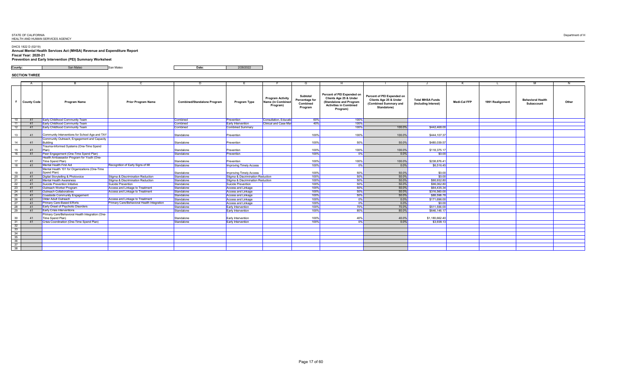DHCS 1822 D (02/19)

**Annual Mental Health Services Act (MHSA) Revenue and Expenditure Report Fiscal Year: 2020-21 Prevention and Early Intervention (PEI) Summary Worksheet**

**County:** San Mateo San Mateo **Date:** 2/28/2022

# **SECTION THREE**

|                 |                       |                                                                      |                                                   |                                    |                                   |                                                          | G                                                                             |                                                                                                                                                |                                                                                                                |                                                 |                     |                  | M                                             |       |
|-----------------|-----------------------|----------------------------------------------------------------------|---------------------------------------------------|------------------------------------|-----------------------------------|----------------------------------------------------------|-------------------------------------------------------------------------------|------------------------------------------------------------------------------------------------------------------------------------------------|----------------------------------------------------------------------------------------------------------------|-------------------------------------------------|---------------------|------------------|-----------------------------------------------|-------|
|                 | County Code           | <b>Program Name</b>                                                  | <b>Prior Program Name</b>                         | <b>Combined/Standalone Program</b> | <b>Program Type</b>               | <b>Program Activity</b><br>Name (in Combined<br>Program) | <b>Subtotal</b><br><b>Percentage for</b><br><b>Combined</b><br><b>Program</b> | <b>Percent of PEI Expended on</b><br><b>Clients Age 25 &amp; Under</b><br>(Standalone and Program<br><b>Activities in Combined</b><br>Program) | <b>Percent of PEI Expended on</b><br><b>Clients Age 25 &amp; Under</b><br>(Combined Summary and<br>Standalone) | <b>Total MHSA Funds</b><br>(Including Interest) | <b>Medi-Cal FFP</b> | 1991 Realignment | <b>Behavioral Health</b><br><b>Subaccount</b> | Other |
| $\overline{10}$ | 41                    | <b>Early Childhood Community Team</b>                                |                                                   | Combined                           | Prevention                        | <b>Consultation, Educatio</b>                            | 60%                                                                           | 100%                                                                                                                                           |                                                                                                                |                                                 |                     |                  |                                               |       |
| $\overline{11}$ | - 41                  | <b>Early Childhood Community Team</b>                                |                                                   | Combined                           | <b>Early Intervention</b>         | <b>Clinical and Case Mar</b>                             | 40%                                                                           | 100%                                                                                                                                           |                                                                                                                |                                                 |                     |                  |                                               |       |
| $\overline{12}$ |                       | <b>Early Childhood Community Team</b>                                |                                                   | Combined                           | Combined Summary                  |                                                          |                                                                               | 100%                                                                                                                                           | 100.0%                                                                                                         | \$442,468.00                                    |                     |                  |                                               |       |
| 13              | -41                   | Community Interventions for School Age and TAY                       |                                                   | Standalone                         | Prevention                        |                                                          | 100%                                                                          | 100%                                                                                                                                           | 100.0%                                                                                                         | \$444,107.37                                    |                     |                  |                                               |       |
| 14              | -41                   | Community Outreach, Engagement and Capacity<br>Building              |                                                   | Standalone                         | Prevention                        |                                                          | 100%                                                                          | 50%                                                                                                                                            | 50.0%                                                                                                          | \$480,039.57                                    |                     |                  |                                               |       |
| 15              | -41                   | Trauma-Informed Systems (One-Time Spend                              |                                                   | Standalone                         | Prevention                        |                                                          | 100%                                                                          | 100%                                                                                                                                           | 100.0%                                                                                                         | \$118,375.17                                    |                     |                  |                                               |       |
| 16              | $-41$                 | Peer Engagement (One-Time Spend Plan)                                |                                                   | Standalone                         | Prevention                        |                                                          | 100%                                                                          | $0\%$                                                                                                                                          | $0.0\%$                                                                                                        | \$0.00                                          |                     |                  |                                               |       |
| 17              | 41                    | Health Ambassador Program for Youth (One-<br>Time Spend Plan)        |                                                   | Standalone                         | Prevention                        |                                                          | 100%                                                                          | 100%                                                                                                                                           | 100.0%                                                                                                         | \$238,876.41                                    |                     |                  |                                               |       |
| 18              | 41                    | <b>Mental Health First Aid</b>                                       | Recognition of Early Signs of MI                  | Standalone                         | <b>Improving Timely Access</b>    |                                                          | 100%                                                                          | $0\%$                                                                                                                                          | $0.0\%$                                                                                                        | \$6,516.45                                      |                     |                  |                                               |       |
|                 |                       | Mental Health 101 for Organizations (One-Time                        |                                                   |                                    |                                   |                                                          |                                                                               |                                                                                                                                                |                                                                                                                |                                                 |                     |                  |                                               |       |
| 19              | -41                   | Spend Plan)                                                          |                                                   | Standalone                         | <b>Improving Timely Access</b>    |                                                          | 100%                                                                          | 50%                                                                                                                                            | $50.0\%$                                                                                                       | \$0.00]                                         |                     |                  |                                               |       |
| $\overline{20}$ | -41                   | Digital Storytelling & Photovoice                                    | Stigma & Discrimination Reduction                 | Standalone                         | Stigma & Discrimination Reduction |                                                          | 100%                                                                          | 50%                                                                                                                                            | 50.0%                                                                                                          | \$0.00                                          |                     |                  |                                               |       |
| 21              | -41                   | <b>Mental Health Awareness</b>                                       | Stigma & Discrimination Reduction                 | Standalone                         | Stigma & Discrimination Reduction |                                                          | $100\%$                                                                       | 50%                                                                                                                                            | 50.0%                                                                                                          | \$90,932.80                                     |                     |                  |                                               |       |
| 22              | -41                   | <b>Suicide Prevention Initiative</b>                                 | Suicide Prevention                                | Standalone                         | <b>Suicide Prevention</b>         |                                                          | 100%                                                                          | 50%                                                                                                                                            | 50.0%                                                                                                          | \$96,062.80                                     |                     |                  |                                               |       |
| $\overline{23}$ |                       | <b>Outreach Worker Program</b>                                       | Access and Linkage to Treatment                   | Standalone                         | <b>Access and Linkage</b>         |                                                          | 100%                                                                          | 50%                                                                                                                                            | $50.0\%$                                                                                                       | \$64,435.34                                     |                     |                  |                                               |       |
| 24              |                       | <b>Outreach Collaboratives</b>                                       | <b>Access and Linkage to Treatment</b>            | Standalone                         | Access and Linkage                |                                                          | 100%                                                                          | 50%                                                                                                                                            | $50.0\%$                                                                                                       | \$316,560.00                                    |                     |                  |                                               |       |
| $\overline{25}$ |                       | <b>Coastside Community Engagement</b>                                |                                                   | Standalone                         | <b>Access and Linkage</b>         |                                                          | 100%                                                                          | 50%                                                                                                                                            | $50.0\%$                                                                                                       | \$88,598.78                                     |                     |                  |                                               |       |
| 26              |                       | Older Adult Outreach                                                 | <b>Access and Linkage to Treatment</b>            | Standalone                         | <b>Access and Linkage</b>         |                                                          | 100%                                                                          | 0%                                                                                                                                             | 0.0%                                                                                                           | \$171,696.00                                    |                     |                  |                                               |       |
| 27              |                       | <b>Primary Care-Based Efforts</b>                                    | <b>Primary Care/Behavioral Health Integration</b> | Standalone                         | Access and Linkage                |                                                          | 100%                                                                          | 0%                                                                                                                                             | $0.0\%$                                                                                                        | \$0.00]                                         |                     |                  |                                               |       |
| $\overline{28}$ |                       | <b>Early Onset of Psychotic Disorders</b>                            |                                                   | Standalone                         | <b>Early Intervention</b>         |                                                          | 100%                                                                          | 70%                                                                                                                                            | $70.0\%$                                                                                                       | \$511,556.00                                    |                     |                  |                                               |       |
| 29              | -41                   | <b>Early Crisis Interventions</b>                                    |                                                   | Standalone                         | <b>Early Intervention</b>         |                                                          | 100%                                                                          | 80%                                                                                                                                            | $80.0\%$                                                                                                       | \$646,146.17                                    |                     |                  |                                               |       |
| 30              | $\mathbf{A}^{\prime}$ | Primary Care/Behavioral Health Integration (One-<br>Time Spend Plan) |                                                   | Standalone                         | <b>Early Intervention</b>         |                                                          | 100%                                                                          | 40%                                                                                                                                            | 40.0%                                                                                                          | \$1,180,662.40                                  |                     |                  |                                               |       |
| $\overline{31}$ | -41                   | <b>Crisis Coordination (One-Time Spend Plan)</b>                     |                                                   | Standalone                         | <b>Early Intervention</b>         |                                                          | 100%                                                                          | 0%                                                                                                                                             | $0.0\%$                                                                                                        | \$3,938.13                                      |                     |                  |                                               |       |
| $\overline{32}$ |                       |                                                                      |                                                   |                                    |                                   |                                                          |                                                                               |                                                                                                                                                |                                                                                                                |                                                 |                     |                  |                                               |       |
| $\overline{33}$ |                       |                                                                      |                                                   |                                    |                                   |                                                          |                                                                               |                                                                                                                                                |                                                                                                                |                                                 |                     |                  |                                               |       |
| 34              |                       |                                                                      |                                                   |                                    |                                   |                                                          |                                                                               |                                                                                                                                                |                                                                                                                |                                                 |                     |                  |                                               |       |
| 35              |                       |                                                                      |                                                   |                                    |                                   |                                                          |                                                                               |                                                                                                                                                |                                                                                                                |                                                 |                     |                  |                                               |       |
| 36              |                       |                                                                      |                                                   |                                    |                                   |                                                          |                                                                               |                                                                                                                                                |                                                                                                                |                                                 |                     |                  |                                               |       |
| $\overline{37}$ |                       |                                                                      |                                                   |                                    |                                   |                                                          |                                                                               |                                                                                                                                                |                                                                                                                |                                                 |                     |                  |                                               |       |
| 38              |                       |                                                                      |                                                   |                                    |                                   |                                                          |                                                                               |                                                                                                                                                |                                                                                                                |                                                 |                     |                  |                                               |       |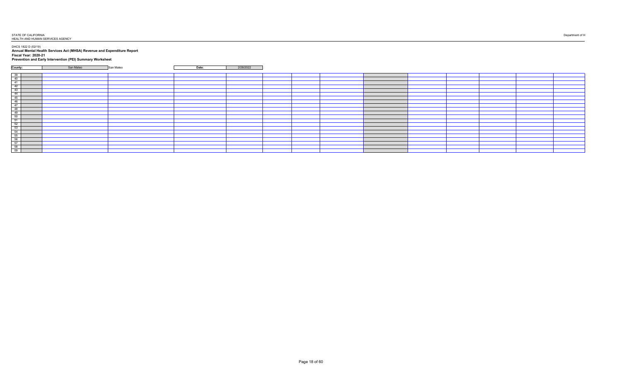DHCS 1822 D (02/19)

**Annual Mental Health Services Act (MHSA) Revenue and Expenditure Report Fiscal Year: 2020-21 Prevention and Early Intervention (PEI) Summary Worksheet**

| the contract of the contract of the contract of the contract of the contract of the contract of the contract of                                                                                                                                   |           |           |       |           |  |  |  |
|---------------------------------------------------------------------------------------------------------------------------------------------------------------------------------------------------------------------------------------------------|-----------|-----------|-------|-----------|--|--|--|
| County:                                                                                                                                                                                                                                           | San Mateo | San Mateo | Date: | 2/28/2022 |  |  |  |
|                                                                                                                                                                                                                                                   |           |           |       |           |  |  |  |
|                                                                                                                                                                                                                                                   |           |           |       |           |  |  |  |
|                                                                                                                                                                                                                                                   |           |           |       |           |  |  |  |
|                                                                                                                                                                                                                                                   |           |           |       |           |  |  |  |
|                                                                                                                                                                                                                                                   |           |           |       |           |  |  |  |
|                                                                                                                                                                                                                                                   |           |           |       |           |  |  |  |
|                                                                                                                                                                                                                                                   |           |           |       |           |  |  |  |
|                                                                                                                                                                                                                                                   |           |           |       |           |  |  |  |
|                                                                                                                                                                                                                                                   |           |           |       |           |  |  |  |
|                                                                                                                                                                                                                                                   |           |           |       |           |  |  |  |
|                                                                                                                                                                                                                                                   |           |           |       |           |  |  |  |
|                                                                                                                                                                                                                                                   |           |           |       |           |  |  |  |
|                                                                                                                                                                                                                                                   |           |           |       |           |  |  |  |
|                                                                                                                                                                                                                                                   |           |           |       |           |  |  |  |
|                                                                                                                                                                                                                                                   |           |           |       |           |  |  |  |
|                                                                                                                                                                                                                                                   |           |           |       |           |  |  |  |
|                                                                                                                                                                                                                                                   |           |           |       |           |  |  |  |
|                                                                                                                                                                                                                                                   |           |           |       |           |  |  |  |
|                                                                                                                                                                                                                                                   |           |           |       |           |  |  |  |
| $\begin{array}{ c c c } \hline 39 & 40 \\ \hline 41 & 42 \\ \hline 43 & 44 \\ \hline 44 & 45 \\ \hline 46 & 47 \\ \hline 48 & 49 \\ \hline 50 & 51 \\ \hline 52 & 53 \\ \hline 54 & 55 \\ \hline 56 & 57 \\ \hline 58 & 59 \\ \hline \end{array}$ |           |           |       |           |  |  |  |
|                                                                                                                                                                                                                                                   |           |           |       |           |  |  |  |
|                                                                                                                                                                                                                                                   |           |           |       |           |  |  |  |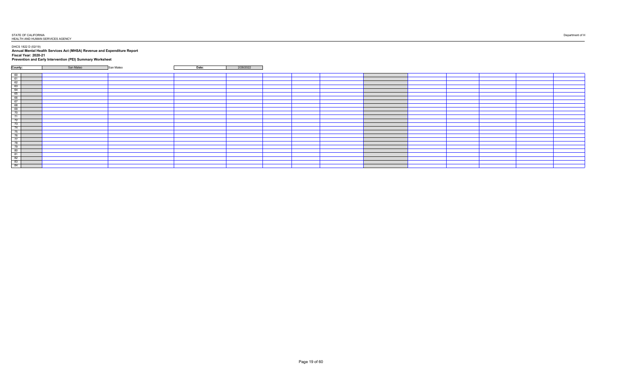DHCS 1822 D (02/19)

**Annual Mental Health Services Act (MHSA) Revenue and Expenditure Report Fiscal Year: 2020-21 Prevention and Early Intervention (PEI) Summary Worksheet**

| County:<br>$\begin{array}{ c c c c }\hline 60 & 61 & 62 \\ \hline 61 & 62 & 63 \\ \hline 63 & 64 & 65 \\ \hline 66 & 67 & 68 & 69 \\ \hline 70 & 71 & 72 & 73 \\ \hline 74 & 75 & 76 & 77 \\ \hline 77 & 78 & 79 & 80 & 81 \\ \hline 81 & 82 & 83 & 84 & 84 \\ \hline \end{array}$ |           |           |       |           |  |  |  |
|------------------------------------------------------------------------------------------------------------------------------------------------------------------------------------------------------------------------------------------------------------------------------------|-----------|-----------|-------|-----------|--|--|--|
|                                                                                                                                                                                                                                                                                    | San Mateo | San Mateo | Date: | 2/28/2022 |  |  |  |
|                                                                                                                                                                                                                                                                                    |           |           |       |           |  |  |  |
|                                                                                                                                                                                                                                                                                    |           |           |       |           |  |  |  |
|                                                                                                                                                                                                                                                                                    |           |           |       |           |  |  |  |
|                                                                                                                                                                                                                                                                                    |           |           |       |           |  |  |  |
|                                                                                                                                                                                                                                                                                    |           |           |       |           |  |  |  |
|                                                                                                                                                                                                                                                                                    |           |           |       |           |  |  |  |
|                                                                                                                                                                                                                                                                                    |           |           |       |           |  |  |  |
|                                                                                                                                                                                                                                                                                    |           |           |       |           |  |  |  |
|                                                                                                                                                                                                                                                                                    |           |           |       |           |  |  |  |
|                                                                                                                                                                                                                                                                                    |           |           |       |           |  |  |  |
|                                                                                                                                                                                                                                                                                    |           |           |       |           |  |  |  |
|                                                                                                                                                                                                                                                                                    |           |           |       |           |  |  |  |
|                                                                                                                                                                                                                                                                                    |           |           |       |           |  |  |  |
|                                                                                                                                                                                                                                                                                    |           |           |       |           |  |  |  |
|                                                                                                                                                                                                                                                                                    |           |           |       |           |  |  |  |
|                                                                                                                                                                                                                                                                                    |           |           |       |           |  |  |  |
|                                                                                                                                                                                                                                                                                    |           |           |       |           |  |  |  |
|                                                                                                                                                                                                                                                                                    |           |           |       |           |  |  |  |
|                                                                                                                                                                                                                                                                                    |           |           |       |           |  |  |  |
|                                                                                                                                                                                                                                                                                    |           |           |       |           |  |  |  |
|                                                                                                                                                                                                                                                                                    |           |           |       |           |  |  |  |
|                                                                                                                                                                                                                                                                                    |           |           |       |           |  |  |  |
|                                                                                                                                                                                                                                                                                    |           |           |       |           |  |  |  |
|                                                                                                                                                                                                                                                                                    |           |           |       |           |  |  |  |
|                                                                                                                                                                                                                                                                                    |           |           |       |           |  |  |  |
|                                                                                                                                                                                                                                                                                    |           |           |       |           |  |  |  |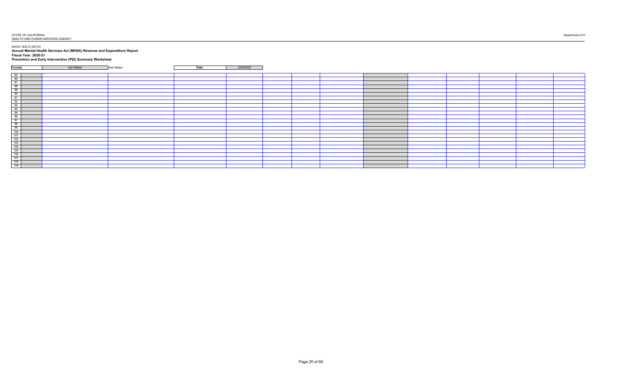DHCS 1822 D (02/19)

**Annual Mental Health Services Act (MHSA) Revenue and Expenditure Report Fiscal Year: 2020-21 Prevention and Early Intervention (PEI) Summary Worksheet**

| County:                                                                                                                                                                                                                                                                                      | San Mateo | San Mateo | Date: | 2/28/2022 |  |  |  |
|----------------------------------------------------------------------------------------------------------------------------------------------------------------------------------------------------------------------------------------------------------------------------------------------|-----------|-----------|-------|-----------|--|--|--|
|                                                                                                                                                                                                                                                                                              |           |           |       |           |  |  |  |
|                                                                                                                                                                                                                                                                                              |           |           |       |           |  |  |  |
|                                                                                                                                                                                                                                                                                              |           |           |       |           |  |  |  |
|                                                                                                                                                                                                                                                                                              |           |           |       |           |  |  |  |
|                                                                                                                                                                                                                                                                                              |           |           |       |           |  |  |  |
|                                                                                                                                                                                                                                                                                              |           |           |       |           |  |  |  |
|                                                                                                                                                                                                                                                                                              |           |           |       |           |  |  |  |
|                                                                                                                                                                                                                                                                                              |           |           |       |           |  |  |  |
|                                                                                                                                                                                                                                                                                              |           |           |       |           |  |  |  |
|                                                                                                                                                                                                                                                                                              |           |           |       |           |  |  |  |
|                                                                                                                                                                                                                                                                                              |           |           |       |           |  |  |  |
|                                                                                                                                                                                                                                                                                              |           |           |       |           |  |  |  |
|                                                                                                                                                                                                                                                                                              |           |           |       |           |  |  |  |
|                                                                                                                                                                                                                                                                                              |           |           |       |           |  |  |  |
|                                                                                                                                                                                                                                                                                              |           |           |       |           |  |  |  |
|                                                                                                                                                                                                                                                                                              |           |           |       |           |  |  |  |
|                                                                                                                                                                                                                                                                                              |           |           |       |           |  |  |  |
|                                                                                                                                                                                                                                                                                              |           |           |       |           |  |  |  |
|                                                                                                                                                                                                                                                                                              |           |           |       |           |  |  |  |
|                                                                                                                                                                                                                                                                                              |           |           |       |           |  |  |  |
|                                                                                                                                                                                                                                                                                              |           |           |       |           |  |  |  |
|                                                                                                                                                                                                                                                                                              |           |           |       |           |  |  |  |
|                                                                                                                                                                                                                                                                                              |           |           |       |           |  |  |  |
|                                                                                                                                                                                                                                                                                              |           |           |       |           |  |  |  |
|                                                                                                                                                                                                                                                                                              |           |           |       |           |  |  |  |
| $\begin{array}{ c c } \hline 85 & 86 \\ \hline 86 & 87 \\ \hline 88 & 90 \\ \hline 90 & 91 \\ \hline 92 & 93 \\ \hline 94 & 95 \\ \hline 96 & 97 \\ \hline 98 & 99 \\ \hline 99 & 100 \\ \hline 107 & 108 \\ \hline 106 & 107 \\ \hline 106 & 107 \\ \hline 108 & 109 \\ \hline \end{array}$ |           |           |       |           |  |  |  |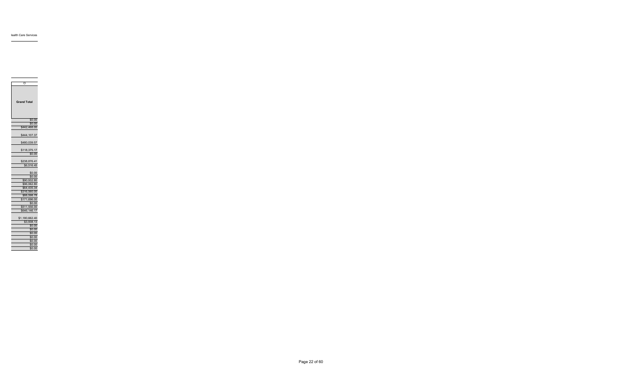| O                          |
|----------------------------|
| <b>Grand Total</b>         |
| \$0.00                     |
| \$0.00                     |
| \$442,468.00               |
| \$444,107.37               |
| \$480,039.57               |
| \$118,375.17<br>\$0.00     |
|                            |
| \$238,876.41<br>\$6,516.45 |
| \$0.00                     |
| \$0.00                     |
| \$90,932.80                |
| \$96,062.80                |
| \$64,435.34                |
| \$316,560.00               |
| \$88,598.78                |
| \$171,696.00               |
| \$0.00                     |
| \$511,556.00               |
| \$646,146.17               |
| \$1,180,662.40             |
| \$3,938.13                 |
| \$0.00                     |
| \$0.00                     |
| \$0.00                     |
| \$0.00                     |
| \$0.00                     |

\$0.00 \$0.00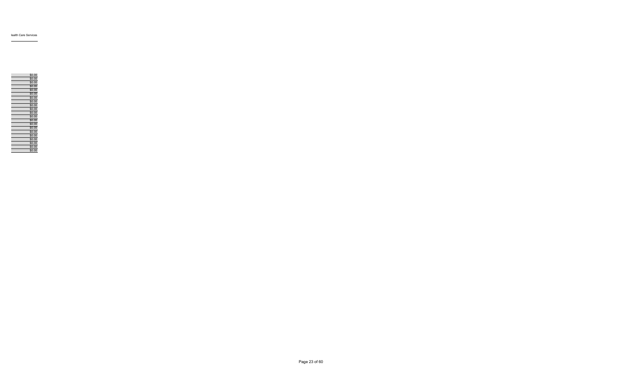| \$0.00 |
|--------|
| \$0.00 |
| \$0.00 |
| \$0.00 |
| \$0.00 |
| \$0.00 |
| \$0.00 |
| \$0.00 |
| \$0.00 |
| \$0.00 |
| \$0.00 |
| \$0.00 |
| \$0.00 |
| \$0.00 |
| \$0.00 |
| \$0.00 |
| \$0.00 |
| \$0.00 |
| \$0.00 |
| \$0.00 |
| \$0.00 |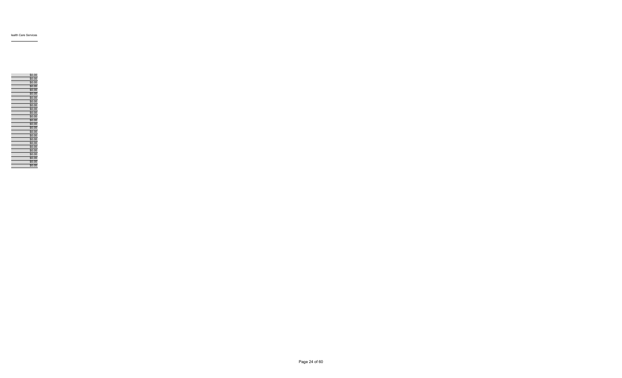|  | \$0.00 |
|--|--------|
|  | \$0.00 |
|  | \$0.00 |
|  | \$0.00 |
|  | \$0.00 |
|  | \$0.00 |
|  | \$0.00 |
|  | \$0.00 |
|  | \$0.00 |
|  | \$0.00 |
|  | \$0.00 |
|  | \$0.00 |
|  | \$0.00 |
|  | \$0.00 |
|  | \$0.00 |
|  | \$0.00 |
|  | \$0.00 |
|  | \$0.00 |
|  | \$0.00 |
|  | \$0.00 |
|  | \$0.00 |
|  | \$0.00 |
|  | \$0.00 |
|  | \$0.00 |
|  | \$0.00 |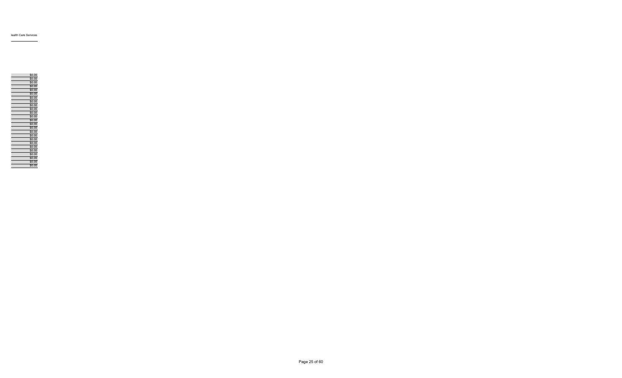|  | \$0.00 |
|--|--------|
|  | \$0.00 |
|  | \$0.00 |
|  | \$0.00 |
|  | \$0.00 |
|  | \$0.00 |
|  | \$0.00 |
|  | \$0.00 |
|  | \$0.00 |
|  | \$0.00 |
|  | \$0.00 |
|  | \$0.00 |
|  | \$0.00 |
|  | \$0.00 |
|  | \$0.00 |
|  | \$0.00 |
|  | \$0.00 |
|  | \$0.00 |
|  | \$0.00 |
|  | \$0.00 |
|  | \$0.00 |
|  | \$0.00 |
|  | \$0.00 |
|  | \$0.00 |
|  | \$0.00 |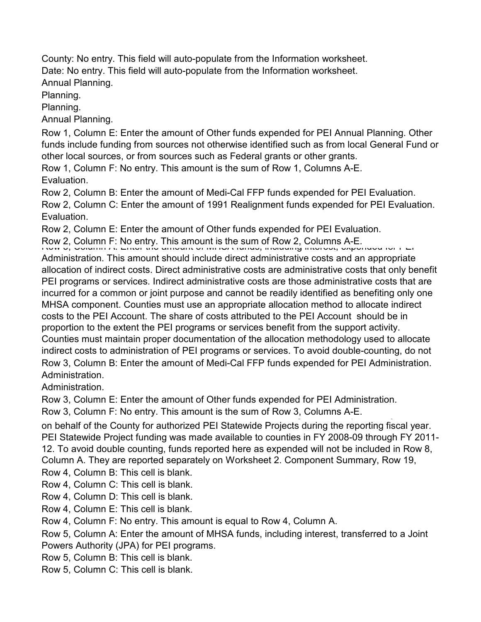County: No entry. This field will auto-populate from the Information worksheet. Date: No entry. This field will auto-populate from the Information worksheet. Annual Planning.

Planning.

Planning.

Annual Planning.

Row 1, Column E: Enter the amount of Other funds expended for PEI Annual Planning. Other funds include funding from sources not otherwise identified such as from local General Fund or other local sources, or from sources such as Federal grants or other grants.

Row 1, Column F: No entry. This amount is the sum of Row 1, Columns A-E. Evaluation.

Row 2, Column B: Enter the amount of Medi-Cal FFP funds expended for PEI Evaluation. Row 2, Column C: Enter the amount of 1991 Realignment funds expended for PEI Evaluation. Evaluation.

Row 2, Column E: Enter the amount of Other funds expended for PEI Evaluation.

Row 2, Column F: No entry. This amount is the sum of Row 2, Columns A-E.<br>الحريف المستوين المستقرر التي تصوير المستقرر المستقرر المستقرر المستقرر المستقرر المستقرر المستقرر المستقرر ال

Administration. This amount should include direct administrative costs and an appropriate allocation of indirect costs. Direct administrative costs are administrative costs that only benefit PEI programs or services. Indirect administrative costs are those administrative costs that are incurred for a common or joint purpose and cannot be readily identified as benefiting only one MHSA component. Counties must use an appropriate allocation method to allocate indirect costs to the PEI Account. The share of costs attributed to the PEI Account should be in proportion to the extent the PEI programs or services benefit from the support activity. Counties must maintain proper documentation of the allocation methodology used to allocate indirect costs to administration of PEI programs or services. To avoid double-counting, do not Row 3, Column B: Enter the amount of Medi-Cal FFP funds expended for PEI Administration. Administration.

Administration.

Row 3, Column E: Enter the amount of Other funds expended for PEI Administration.

Row 3, Column F: No entry. This amount is the sum of Row 3, Columns A-E.

on behalf of the County for authorized PEI Statewide Projects during the reporting fiscal year. PEI Statewide Project funding was made available to counties in FY 2008-09 through FY 2011- 12. To avoid double counting, funds reported here as expended will not be included in Row 8, Column A. They are reported separately on Worksheet 2. Component Summary, Row 19,

Row 4, Column B: This cell is blank.

Row 4, Column C: This cell is blank.

Row 4, Column D: This cell is blank.

Row 4, Column E: This cell is blank.

Row 4, Column F: No entry. This amount is equal to Row 4, Column A.

Row 5, Column A: Enter the amount of MHSA funds, including interest, transferred to a Joint Powers Authority (JPA) for PEI programs.

Row 5, Column B: This cell is blank.

Row 5, Column C: This cell is blank.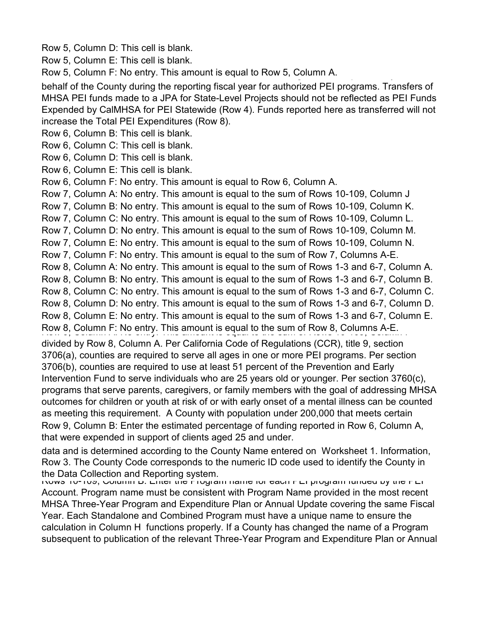Row 5, Column D: This cell is blank.

Row 5, Column E: This cell is blank.

Row 5, Column F: No entry. This amount is equal to Row 5, Column A.

behalf of the County during the reporting fiscal year for authorized PEI programs. Transfers of MHSA PEI funds made to a JPA for State-Level Projects should not be reflected as PEI Funds Expended by CalMHSA for PEI Statewide (Row 4). Funds reported here as transferred will not increase the Total PEI Expenditures (Row 8).

Row 6, Column B: This cell is blank.

Row 6, Column C: This cell is blank.

Row 6, Column D: This cell is blank.

Row 6, Column E: This cell is blank.

Row 6, Column F: No entry. This amount is equal to Row 6, Column A.

Row 7, Column A: No entry. This amount is equal to the sum of Rows 10-109, Column J

Row 7, Column B: No entry. This amount is equal to the sum of Rows 10-109, Column K.

Row 7, Column C: No entry. This amount is equal to the sum of Rows 10-109, Column L.

Row 7, Column D: No entry. This amount is equal to the sum of Rows 10-109, Column M.

Row 7, Column E: No entry. This amount is equal to the sum of Rows 10-109, Column N.

Row 7, Column F: No entry. This amount is equal to the sum of Row 7, Columns A-E.

Row 8, Column A: No entry. This amount is equal to the sum of Rows 1-3 and 6-7, Column A.

Row 8, Column B: No entry. This amount is equal to the sum of Rows 1-3 and 6-7, Column B.

Row 8, Column C: No entry. This amount is equal to the sum of Rows 1-3 and 6-7, Column C.

Row 8, Column D: No entry. This amount is equal to the sum of Rows 1-3 and 6-7, Column D.

Row 8, Column E: No entry. This amount is equal to the sum of Rows 1-3 and 6-7, Column E.

Row 8, Column F: No entry. This amount is equal to the sum of Row 8, Columns A-E.

divided by Row 8, Column A. Per California Code of Regulations (CCR), title 9, section 3706(a), counties are required to serve all ages in one or more PEI programs. Per section 3706(b), counties are required to use at least 51 percent of the Prevention and Early

Intervention Fund to serve individuals who are 25 years old or younger. Per section 3760(c), programs that serve parents, caregivers, or family members with the goal of addressing MHSA outcomes for children or youth at risk of or with early onset of a mental illness can be counted as meeting this requirement. A County with population under 200,000 that meets certain Row 9, Column B: Enter the estimated percentage of funding reported in Row 6, Column A,

that were expended in support of clients aged 25 and under. data and is determined according to the County Name entered on Worksheet 1. Information,

Row 3. The County Code corresponds to the numeric ID code used to identify the County in the Data Collection and Reporting system.

Rows 10-109, Column B: Enter the Program name for each PEI program funded by the PEI Account. Program name must be consistent with Program Name provided in the most recent MHSA Three-Year Program and Expenditure Plan or Annual Update covering the same Fiscal Year. Each Standalone and Combined Program must have a unique name to ensure the calculation in Column H functions properly. If a County has changed the name of a Program subsequent to publication of the relevant Three-Year Program and Expenditure Plan or Annual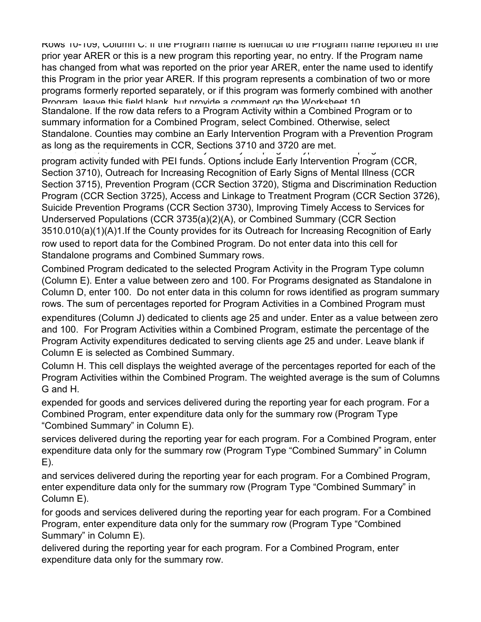Rows 10-109, Column C: If the Program name is identical to the Program name reported in the prior year ARER or this is a new program this reporting year, no entry. If the Program name has changed from what was reported on the prior year ARER, enter the name used to identify this Program in the prior year ARER. If this program represents a combination of two or more programs formerly reported separately, or if this program was formerly combined with another Program leave this field blank but provide a comment on the Worksheet 10 Standalone. If the row data refers to a Program Activity within a Combined Program or to summary information for a Combined Program, select Combined. Otherwise, select Standalone. Counties may combine an Early Intervention Program with a Prevention Program as long as the requirements in CCR, Sections 3710 and 3720 are met.

program activity funded with PEI funds. Options include Early Intervention Program (CCR, Section 3710), Outreach for Increasing Recognition of Early Signs of Mental Illness (CCR Section 3715), Prevention Program (CCR Section 3720), Stigma and Discrimination Reduction Program (CCR Section 3725), Access and Linkage to Treatment Program (CCR Section 3726), Suicide Prevention Programs (CCR Section 3730), Improving Timely Access to Services for Underserved Populations (CCR 3735(a)(2)(A), or Combined Summary (CCR Section 3510.010(a)(1)(A)1.If the County provides for its Outreach for Increasing Recognition of Early row used to report data for the Combined Program. Do not enter data into this cell for Standalone programs and Combined Summary rows.

Combined Program dedicated to the selected Program Activity in the Program Type column (Column E). Enter a value between zero and 100. For Programs designated as Standalone in Column D, enter 100. Do not enter data in this column for rows identified as program summary rows. The sum of percentages reported for Program Activities in a Combined Program must

expenditures (Column J) dedicated to clients age 25 and under. Enter as a value between zero and 100. For Program Activities within a Combined Program, estimate the percentage of the Program Activity expenditures dedicated to serving clients age 25 and under. Leave blank if Column E is selected as Combined Summary.

Column H. This cell displays the weighted average of the percentages reported for each of the Program Activities within the Combined Program. The weighted average is the sum of Columns G and H.

expended for goods and services delivered during the reporting year for each program. For a Combined Program, enter expenditure data only for the summary row (Program Type "Combined Summary" in Column E).

services delivered during the reporting year for each program. For a Combined Program, enter expenditure data only for the summary row (Program Type "Combined Summary" in Column E).

and services delivered during the reporting year for each program. For a Combined Program, enter expenditure data only for the summary row (Program Type "Combined Summary" in Column E).

for goods and services delivered during the reporting year for each program. For a Combined Program, enter expenditure data only for the summary row (Program Type "Combined Summary" in Column E).

delivered during the reporting year for each program. For a Combined Program, enter expenditure data only for the summary row.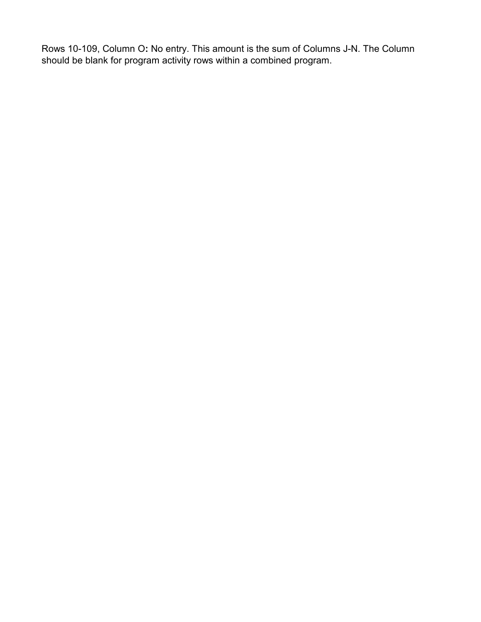Rows 10-109, Column O**:** No entry. This amount is the sum of Columns J-N. The Column should be blank for program activity rows within a combined program.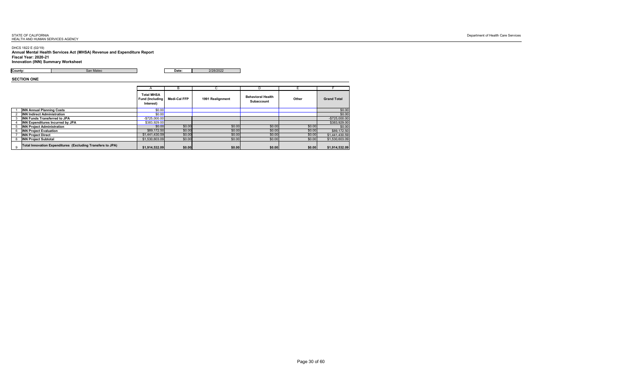## DHCS 1822 E (02/19) **Annual Mental Health Services Act (MHSA) Revenue and Expenditure Report Fiscal Year: 2020-21 Innovation (INN) Summary Worksheet**

**County: County: San Mateo Date:** 2/28/2022

**SECTION ONE**

|   |                                                            |                                                           | B                   |                         |                                               |        |                    |
|---|------------------------------------------------------------|-----------------------------------------------------------|---------------------|-------------------------|-----------------------------------------------|--------|--------------------|
|   |                                                            | <b>Total MHSA</b><br><b>Fund (Including)</b><br>Interest) | <b>Medi-Cal FFP</b> | <b>1991 Realignment</b> | <b>Behavioral Health</b><br><b>Subaccount</b> | Other  | <b>Grand Total</b> |
|   | <b>INN Annual Planning Costs</b>                           | \$0.00                                                    |                     |                         |                                               |        | \$0.00             |
|   | <b>INN Indirect Administration</b>                         | \$0.00]                                                   |                     |                         |                                               |        | \$0.00             |
|   | <b>INN Funds Transferred to JPA</b>                        | $-$ \$725,000.00                                          |                     |                         |                                               |        | $-$725,000.00$     |
|   | <b>INN Expenditures Incurred by JPA</b>                    | \$383,929.00                                              |                     |                         |                                               |        | \$383,929.00       |
|   | <b>INN Project Administration</b>                          | \$0.00                                                    | \$0.00              | \$0.00                  | \$0.00                                        | \$0.00 | \$0.00             |
|   | <b>INN Project Evaluation</b>                              | \$89,172.50                                               | \$0.00              | \$0.00                  | \$0.00                                        | \$0.00 | \$89,172.50        |
|   | <b>INN Project Direct</b>                                  | \$1,441,430.59                                            | \$0.00              | \$0.00                  | \$0.00                                        | \$0.00 | \$1,441,430.59     |
|   | <b>INN Project Subtotal</b>                                | \$1,530,603.09                                            | \$0.00              | \$0.00                  | \$0.00                                        | \$0.00 | \$1,530,603.09     |
| 9 | Total Innovation Expenditures (Excluding Transfers to JPA) | \$1,914,532.09                                            | \$0.00              | \$0.00                  | \$0.00                                        | \$0.00 | \$1,914,532.09     |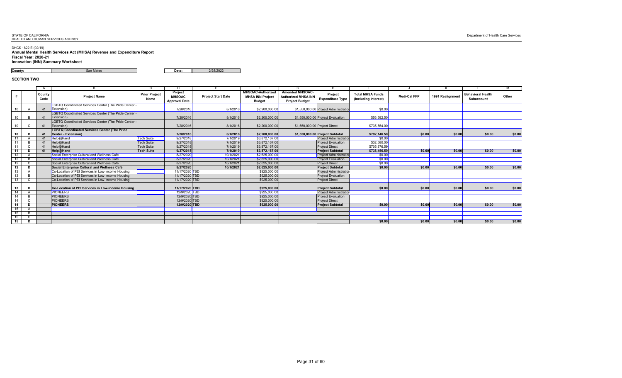DHCS 1822 E (02/19) **Annual Mental Health Services Act (MHSA) Revenue and Expenditure Report Fiscal Year: 2020-21 Innovation (INN) Summary Worksheet**

**County: County: San Mateo Date:** 2/28/2022

# **SECTION TWO**

|                  |          | $\mathsf{A}$   | B.                                                                          |                                     | D                                                |                           |                                                                      | G                                                                             | H                                     |                                                 |                     |                  |                                               | M            |
|------------------|----------|----------------|-----------------------------------------------------------------------------|-------------------------------------|--------------------------------------------------|---------------------------|----------------------------------------------------------------------|-------------------------------------------------------------------------------|---------------------------------------|-------------------------------------------------|---------------------|------------------|-----------------------------------------------|--------------|
|                  |          | County<br>Code | <b>Project Name</b>                                                         | <b>Prior Project</b><br><b>Name</b> | Project<br><b>MHSOAC</b><br><b>Approval Date</b> | <b>Project Start Date</b> | <b>MHSOAC-Authorized</b><br><b>MHSA INN Project</b><br><b>Budget</b> | <b>Amended MHSOAC-</b><br><b>Authorized MHSA INN</b><br><b>Project Budget</b> | Project<br><b>Expenditure Type</b>    | <b>Total MHSA Funds</b><br>(Including Interest) | <b>Medi-Cal FFP</b> | 1991 Realignment | <b>Behavioral Health</b><br><b>Subaccount</b> | <b>Other</b> |
|                  |          | 41             | LGBTQ Coordinated Services Center (The Pride Center<br>$\mathsf{Extension}$ |                                     | 7/28/2016                                        | 8/1/2016                  | \$2,200,000.00                                                       |                                                                               | \$1,550,000.00 Project Administration | \$0.00                                          |                     |                  |                                               |              |
|                  |          | 41             | <b>LGBTQ Coordinated Services Center (The Pride Center</b><br>Extension)    |                                     | 7/28/2016                                        | 8/1/2016                  | \$2,200,000.00                                                       |                                                                               | \$1,550,000.00 Project Evaluation     | \$56,592.50                                     |                     |                  |                                               |              |
| 10               |          | 41             | LGBTQ Coordinated Services Center (The Pride Center<br>Extension)           |                                     | 7/28/2016                                        | 8/1/2016                  | \$2,200,000.00                                                       | \$1,550,000.00 Project Direct                                                 |                                       | \$735,554.00                                    |                     |                  |                                               |              |
| 10               |          | 41             | <b>LGBTQ Coordinated Services Center (The Pride</b><br>Center - Extension)  |                                     | 7/28/2016                                        | 8/1/2016                  | \$2,200,000.00                                                       |                                                                               | \$1,550,000.00 Project Subtotal       | \$792,146.50                                    | \$0.00              | \$0.00           | \$0.00                                        | \$0.00       |
| 11               |          | 41             | Help@Hand                                                                   | <b>Tech Suite</b>                   | 9/27/2018                                        | 7/1/2019                  | \$3,872,167.00                                                       |                                                                               | <b>Project Administration</b>         | \$0.00                                          |                     |                  |                                               |              |
|                  |          | 41             | Help@Hand                                                                   | <b>Tech Suite</b>                   | 9/27/2018                                        | 7/1/2019                  | \$3,872,167.00                                                       |                                                                               | <b>Project Evaluation</b>             | \$32,580.00                                     |                     |                  |                                               |              |
| 11               |          | 41             | Help@Hand                                                                   | <b>Tech Suite</b>                   | 9/27/2018                                        | 7/1/2019                  | \$3,872,167.00                                                       |                                                                               | <b>Project Direct</b>                 | \$705,876.59                                    |                     |                  |                                               |              |
| 11               | <b>D</b> | 41             | Help@Hand                                                                   | <b>Tech Suite</b>                   | 9/27/2018                                        | 7/1/2019                  | \$3,872,167.00                                                       |                                                                               | <b>Project Subtotal</b>               | \$738,456.59                                    | \$0.00              | \$0.00           | \$0.00                                        | \$0.00       |
| 12               |          |                | Social Enterprise Cultural and Wellness Café                                |                                     | 8/27/2020                                        | 10/1/2021                 | \$2,625,000.00                                                       |                                                                               | <b>Project Administration</b>         | \$0.00                                          |                     |                  |                                               |              |
| 12               |          |                | Social Enterprise Cultural and Wellness Café                                |                                     | 8/27/2020                                        | 10/1/2021                 | \$2,625,000.00                                                       |                                                                               | <b>Project Evaluation</b>             | \$0.00                                          |                     |                  |                                               |              |
| 12 <sup>7</sup>  |          |                | Social Enterprise Cultural and Wellness Café                                |                                     | 8/27/2020                                        | 10/1/2021                 | \$2,625,000.00                                                       |                                                                               | <b>Project Direct</b>                 | \$0.00                                          |                     |                  |                                               |              |
| 12 <sub>2</sub>  | <b>D</b> |                | Social Enterprise Cultural and Wellness Café                                |                                     | 8/27/2020                                        | 10/1/2021                 | \$2,625,000.00                                                       |                                                                               | <b>Project Subtotal</b>               | \$0.00                                          | \$0.00              | \$0.00           | \$0.00                                        | \$0.00       |
| 13 <sup>7</sup>  |          |                | Co-Location of PEI Services in Low-Income Housing                           |                                     | 11/17/2020 TBD                                   |                           | \$925,000.00                                                         |                                                                               | <b>Project Administration</b>         |                                                 |                     |                  |                                               |              |
| 13               |          |                | Co-Location of PEI Services in Low-Income Housing                           |                                     | 11/17/2020 TBD                                   |                           | \$925,000.00                                                         |                                                                               | <b>Project Evaluation</b>             |                                                 |                     |                  |                                               |              |
| 13 <sup>7</sup>  |          |                | Co-Location of PEI Services in Low-Income Housing                           |                                     | 11/17/2020 TBD                                   |                           | \$925,000.00                                                         |                                                                               | <b>Project Direct</b>                 |                                                 |                     |                  |                                               |              |
| 13 <sup>7</sup>  |          |                | Co-Location of PEI Services in Low-Income Housing                           |                                     | 11/17/2020 TBD                                   |                           | \$925,000.00                                                         |                                                                               | <b>Project Subtotal</b>               | \$0.00                                          | \$0.00              | \$0.00           | \$0.00                                        | \$0.00       |
| 14               |          |                | PIONEERS                                                                    |                                     | 12/9/2020 TBD                                    |                           | \$925,000.00                                                         |                                                                               | <b>Project Administration</b>         |                                                 |                     |                  |                                               |              |
| 14               |          |                | <b>PIONEERS</b>                                                             |                                     | 12/9/2020 TBD                                    |                           | \$925,000.00                                                         |                                                                               | <b>Project Evaluation</b>             |                                                 |                     |                  |                                               |              |
| 14               |          |                | <b>PIONEERS</b>                                                             |                                     | 12/9/2020 TBD                                    |                           | \$925,000.00                                                         |                                                                               | <b>Project Direct</b>                 |                                                 |                     |                  |                                               |              |
| 14               |          |                | <b>PIONEERS</b>                                                             |                                     | 12/9/2020 TBD                                    |                           | \$925,000.00                                                         |                                                                               | <b>Project Subtotal</b>               | \$0.00                                          | \$0.00              | \$0.00           | \$0.00                                        | \$0.00       |
| 15               |          |                |                                                                             |                                     |                                                  |                           |                                                                      |                                                                               |                                       |                                                 |                     |                  |                                               |              |
| 15 <sup>15</sup> |          |                |                                                                             |                                     |                                                  |                           |                                                                      |                                                                               |                                       |                                                 |                     |                  |                                               |              |
| 15               |          |                |                                                                             |                                     |                                                  |                           |                                                                      |                                                                               |                                       |                                                 |                     |                  |                                               |              |
| 15 <sub>1</sub>  | D        |                |                                                                             |                                     |                                                  |                           |                                                                      |                                                                               |                                       | \$0.00                                          | \$0.00              | \$0.00           | \$0.00                                        | \$0.00       |

| $\overline{\mathsf{M}}$ |        |
|-------------------------|--------|
|                         |        |
| Other                   |        |
|                         |        |
|                         |        |
|                         |        |
|                         |        |
|                         | \$0.00 |
|                         |        |
|                         |        |
|                         | \$0.00 |
|                         |        |
|                         | \$0.00 |
|                         |        |
|                         |        |
|                         | \$0.00 |
|                         |        |
|                         |        |
|                         | \$0.00 |
|                         |        |
|                         |        |
|                         | \$0.00 |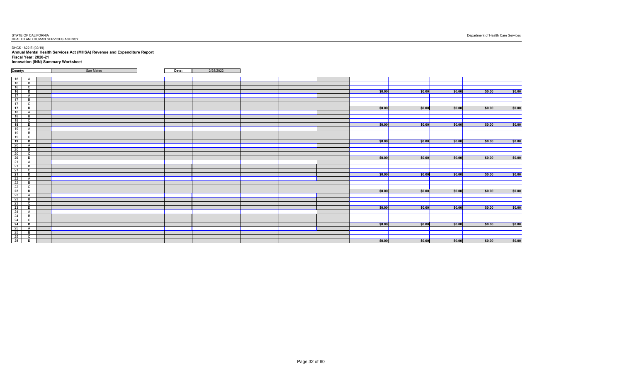DHCS 1822 E (02/19) **Annual Mental Health Services Act (MHSA) Revenue and Expenditure Report Fiscal Year: 2020-21 Innovation (INN) Summary Worksheet**

| County:                                                                  | San Mateo | Date: | 2/28/2022 |  |        |        |        |            |        |
|--------------------------------------------------------------------------|-----------|-------|-----------|--|--------|--------|--------|------------|--------|
|                                                                          |           |       |           |  |        |        |        |            |        |
| 16<br>A                                                                  |           |       |           |  |        |        |        |            |        |
| 16<br>B                                                                  |           |       |           |  |        |        |        |            |        |
| 16<br>$\mathsf{C}$                                                       |           |       |           |  |        |        |        |            |        |
| $\overline{16}$<br>D                                                     |           |       |           |  | \$0.00 | \$0.00 | \$0.00 | \$0.00     | \$0.00 |
| 17<br>A                                                                  |           |       |           |  |        |        |        |            |        |
| 17<br>$\overline{B}$                                                     |           |       |           |  |        |        |        |            |        |
| 17<br>$\sim$<br>◡                                                        |           |       |           |  |        |        |        |            |        |
| $\overline{17}$<br>D                                                     |           |       |           |  | \$0.00 | \$0.00 | \$0.00 | \$0.00     | \$0.00 |
| 18<br>$\mathsf{A}$                                                       |           |       |           |  |        |        |        |            |        |
| 18<br>$\mathsf B$                                                        |           |       |           |  |        |        |        |            |        |
| 18<br>$\sim$<br>◡                                                        |           |       |           |  |        |        |        |            |        |
| 18<br>D                                                                  |           |       |           |  | \$0.00 | \$0.00 | \$0.00 | $ $ \$0.00 | \$0.00 |
| 19                                                                       |           |       |           |  |        |        |        |            |        |
| 19<br>$\mathsf B$                                                        |           |       |           |  |        |        |        |            |        |
| 19<br>$\sim$<br>◡                                                        |           |       |           |  |        |        |        |            |        |
| 19<br>D                                                                  |           |       |           |  | \$0.00 | \$0.00 | \$0.00 | $ $ \$0.00 | \$0.00 |
| 20                                                                       |           |       |           |  |        |        |        |            |        |
| $\overline{B}$                                                           |           |       |           |  |        |        |        |            |        |
| $\frac{16}{20}$                                                          |           |       |           |  |        |        |        |            |        |
| $\overline{20}$<br>D                                                     |           |       |           |  | \$0.00 | \$0.00 | \$0.00 | \$0.00     | \$0.00 |
| 21<br>$\mathsf{A}$                                                       |           |       |           |  |        |        |        |            |        |
| $\overline{21}$<br>$\overline{B}$                                        |           |       |           |  |        |        |        |            |        |
| 21<br>$\sim$                                                             |           |       |           |  |        |        |        |            |        |
| ◡<br>$\overline{21}$<br>D                                                |           |       |           |  | \$0.00 | \$0.00 | \$0.00 | \$0.00     | \$0.00 |
|                                                                          |           |       |           |  |        |        |        |            |        |
| $\begin{array}{r} 22 \\ 22 \\ 22 \\ 22 \\ 22 \end{array}$<br>$\mathsf B$ |           |       |           |  |        |        |        |            |        |
| $\sim$                                                                   |           |       |           |  |        |        |        |            |        |
| D                                                                        |           |       |           |  | \$0.00 | \$0.00 | \$0.00 | $ $ \$0.00 | \$0.00 |
|                                                                          |           |       |           |  |        |        |        |            |        |
| B                                                                        |           |       |           |  |        |        |        |            |        |
|                                                                          |           |       |           |  |        |        |        |            |        |
| D                                                                        |           |       |           |  | \$0.00 | \$0.00 |        | \$0.00     | \$0.00 |
|                                                                          |           |       |           |  |        |        | \$0.00 |            |        |
| $\frac{23}{23}$<br>$\frac{23}{23}$<br>$\frac{23}{24}$                    |           |       |           |  |        |        |        |            |        |
| $\overline{B}$<br>$\overline{24}$<br>$\sim$                              |           |       |           |  |        |        |        |            |        |
| ◡<br>$\overline{24}$                                                     |           |       |           |  |        |        |        |            |        |
| D                                                                        |           |       |           |  | \$0.00 | \$0.00 | \$0.00 | \$0.00     | \$0.00 |
|                                                                          |           |       |           |  |        |        |        |            |        |
| $\overline{B}$<br>$\sim$                                                 |           |       |           |  |        |        |        |            |        |
| $\frac{25}{25}$<br>$\frac{25}{25}$<br>◡                                  |           |       |           |  |        |        |        |            |        |
| D                                                                        |           |       |           |  | \$0.00 | \$0.00 | \$0.00 | \$0.00     | \$0.00 |

| \$0.00 |
|--------|
|        |
|        |
|        |
| \$0.00 |
|        |
|        |
|        |
| \$0.00 |
|        |
|        |
|        |
| \$0.00 |
|        |
|        |
|        |
| \$0.00 |
|        |
|        |
| \$0.00 |
|        |
|        |
|        |
| \$0.00 |
|        |
|        |
|        |
| \$0.00 |
|        |
|        |
|        |
| \$0.00 |
|        |
|        |
|        |
| \$0.00 |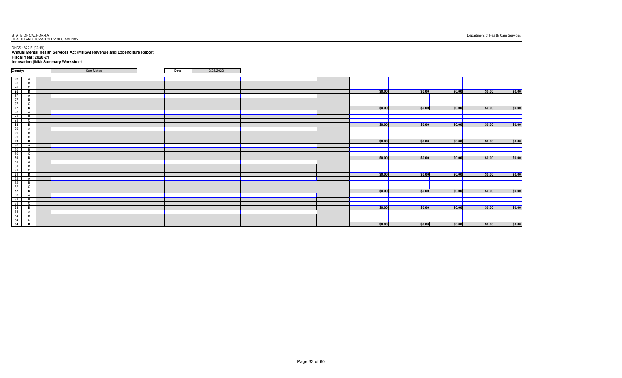DHCS 1822 E (02/19) **Annual Mental Health Services Act (MHSA) Revenue and Expenditure Report Fiscal Year: 2020-21 Innovation (INN) Summary Worksheet**

| County:                                                                                                                                            | San Mateo<br>Date: | 2/28/2022 |  |        |        |        |        |        |
|----------------------------------------------------------------------------------------------------------------------------------------------------|--------------------|-----------|--|--------|--------|--------|--------|--------|
|                                                                                                                                                    |                    |           |  |        |        |        |        |        |
| $\begin{array}{ c c }\n\hline\n26 \\ \hline\n26 \\ \hline\n26 \\ \hline\n27\n\end{array}$<br>$\overline{A}$                                        |                    |           |  |        |        |        |        |        |
| B                                                                                                                                                  |                    |           |  |        |        |        |        |        |
| $\mathsf{C}$                                                                                                                                       |                    |           |  |        |        |        |        |        |
| D                                                                                                                                                  |                    |           |  | \$0.00 | \$0.00 | \$0.00 | \$0.00 | \$0.00 |
| $\overline{A}$                                                                                                                                     |                    |           |  |        |        |        |        |        |
| $\overline{27}$<br>$\mathsf B$                                                                                                                     |                    |           |  |        |        |        |        |        |
| $\overline{27}$<br>$\mathsf C$                                                                                                                     |                    |           |  |        |        |        |        |        |
| $\frac{1}{27}$<br>D                                                                                                                                |                    |           |  | \$0.00 | \$0.00 | \$0.00 | \$0.00 | \$0.00 |
| $\frac{1}{28}$<br>$\frac{1}{28}$<br>$\frac{1}{28}$<br>$\frac{1}{28}$<br>$\overline{A}$                                                             |                    |           |  |        |        |        |        |        |
| $\mathsf B$                                                                                                                                        |                    |           |  |        |        |        |        |        |
| $\mathsf C$                                                                                                                                        |                    |           |  |        |        |        |        |        |
| D                                                                                                                                                  |                    |           |  | \$0.00 | \$0.00 | \$0.00 | \$0.00 | \$0.00 |
| A                                                                                                                                                  |                    |           |  |        |        |        |        |        |
| $\mathsf B$                                                                                                                                        |                    |           |  |        |        |        |        |        |
| $\sim$<br>◡                                                                                                                                        |                    |           |  |        |        |        |        |        |
| $\begin{array}{ c c }\n\hline\n29 \\ \hline\n29 \\ \hline\n29\n\end{array}$<br>D                                                                   |                    |           |  | \$0.00 | \$0.00 | \$0.00 | \$0.00 | \$0.00 |
| $\frac{28}{30}$<br>$\frac{30}{30}$<br>$\frac{30}{30}$<br>$\overline{A}$                                                                            |                    |           |  |        |        |        |        |        |
| $\mathsf B$                                                                                                                                        |                    |           |  |        |        |        |        |        |
| $\mathsf{C}$                                                                                                                                       |                    |           |  |        |        |        |        |        |
| D                                                                                                                                                  |                    |           |  | \$0.00 | \$0.00 | \$0.00 | \$0.00 | \$0.00 |
| $\mathsf{A}$                                                                                                                                       |                    |           |  |        |        |        |        |        |
| $\mathsf B$                                                                                                                                        |                    |           |  |        |        |        |        |        |
| $\begin{array}{r} \n \overline{\phantom{0}31} \\  \overline{31} \\  \overline{31} \\  \overline{31}\n \end{array}$<br>$\mathsf{C}$                 |                    |           |  |        |        |        |        |        |
| $\overline{31}$<br>D                                                                                                                               |                    |           |  | \$0.00 | \$0.00 | \$0.00 | \$0.00 | \$0.00 |
| $\frac{32}{32}$                                                                                                                                    |                    |           |  |        |        |        |        |        |
| $\mathsf B$                                                                                                                                        |                    |           |  |        |        |        |        |        |
| $\mathsf{C}$                                                                                                                                       |                    |           |  |        |        |        |        |        |
| D                                                                                                                                                  |                    |           |  | \$0.00 | \$0.00 | \$0.00 | \$0.00 | \$0.00 |
|                                                                                                                                                    |                    |           |  |        |        |        |        |        |
|                                                                                                                                                    |                    |           |  |        |        |        |        |        |
| $\mathsf{C}$                                                                                                                                       |                    |           |  |        |        |        |        |        |
| $\begin{array}{ c c }\n \hline\n 32 \\  \hline\n 32 \\  \hline\n 33 \\  \hline\n 33 \\  \hline\n 34 \\  \hline\n 34 \\  \hline\n \end{array}$<br>D |                    |           |  | \$0.00 | \$0.00 | \$0.00 | \$0.00 | \$0.00 |
|                                                                                                                                                    |                    |           |  |        |        |        |        |        |
|                                                                                                                                                    |                    |           |  |        |        |        |        |        |
| $\sim$<br>◡                                                                                                                                        |                    |           |  |        |        |        |        |        |
| $\begin{array}{ c c }\n\hline\n34 \\ \hline\n34\n\end{array}$<br>D                                                                                 |                    |           |  | \$0.00 | \$0.00 | \$0.00 | \$0.00 | \$0.00 |
|                                                                                                                                                    |                    |           |  |        |        |        |        |        |

| \$0.00 |
|--------|
|        |
|        |
|        |
| \$0.00 |
|        |
|        |
|        |
| \$0.00 |
|        |
|        |
| \$0.00 |
|        |
|        |
|        |
| \$0.00 |
|        |
|        |
|        |
| \$0.00 |
|        |
|        |
| \$0.00 |
|        |
|        |
|        |
| \$0.00 |
|        |
|        |
|        |
| \$0.00 |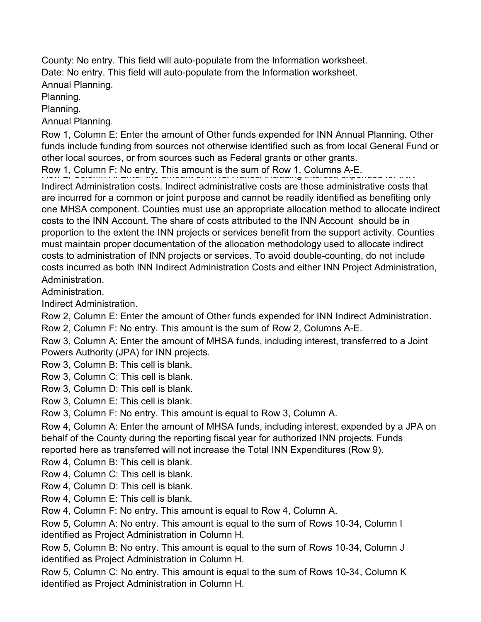County: No entry. This field will auto-populate from the Information worksheet. Date: No entry. This field will auto-populate from the Information worksheet. Annual Planning.

Planning.

Planning.

Annual Planning.

Row 1, Column E: Enter the amount of Other funds expended for INN Annual Planning. Other funds include funding from sources not otherwise identified such as from local General Fund or other local sources, or from sources such as Federal grants or other grants.

Row 1, Column F: No entry. This amount is the sum of Row 1, Columns A-E.

Indirect Administration costs. Indirect administrative costs are those administrative costs that are incurred for a common or joint purpose and cannot be readily identified as benefiting only one MHSA component. Counties must use an appropriate allocation method to allocate indirect costs to the INN Account. The share of costs attributed to the INN Account should be in proportion to the extent the INN projects or services benefit from the support activity. Counties must maintain proper documentation of the allocation methodology used to allocate indirect costs to administration of INN projects or services. To avoid double-counting, do not include costs incurred as both INN Indirect Administration Costs and either INN Project Administration, Administration.

Administration.

Indirect Administration.

Row 2, Column E: Enter the amount of Other funds expended for INN Indirect Administration.

Row 2, Column F: No entry. This amount is the sum of Row 2, Columns A-E.

Row 3, Column A: Enter the amount of MHSA funds, including interest, transferred to a Joint Powers Authority (JPA) for INN projects.

Row 3, Column B: This cell is blank.

Row 3, Column C: This cell is blank.

Row 3, Column D: This cell is blank.

Row 3, Column E: This cell is blank.

Row 3, Column F: No entry. This amount is equal to Row 3, Column A.

Row 4, Column A: Enter the amount of MHSA funds, including interest, expended by a JPA on behalf of the County during the reporting fiscal year for authorized INN projects. Funds reported here as transferred will not increase the Total INN Expenditures (Row 9).

Row 4, Column B: This cell is blank.

Row 4, Column C: This cell is blank.

Row 4, Column D: This cell is blank.

Row 4, Column E: This cell is blank.

Row 4, Column F: No entry. This amount is equal to Row 4, Column A.

Row 5, Column A: No entry. This amount is equal to the sum of Rows 10-34, Column I identified as Project Administration in Column H.

Row 5, Column B: No entry. This amount is equal to the sum of Rows 10-34, Column J identified as Project Administration in Column H.

Row 5, Column C: No entry. This amount is equal to the sum of Rows 10-34, Column K identified as Project Administration in Column H.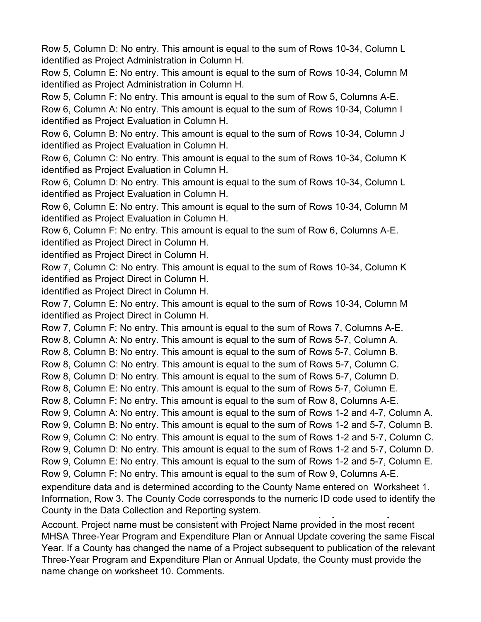Row 5, Column D: No entry. This amount is equal to the sum of Rows 10-34, Column L identified as Project Administration in Column H.

Row 5, Column E: No entry. This amount is equal to the sum of Rows 10-34, Column M identified as Project Administration in Column H.

Row 5, Column F: No entry. This amount is equal to the sum of Row 5, Columns A-E.

Row 6, Column A: No entry. This amount is equal to the sum of Rows 10-34, Column I identified as Project Evaluation in Column H.

Row 6, Column B: No entry. This amount is equal to the sum of Rows 10-34, Column J identified as Project Evaluation in Column H.

Row 6, Column C: No entry. This amount is equal to the sum of Rows 10-34, Column K identified as Project Evaluation in Column H.

Row 6, Column D: No entry. This amount is equal to the sum of Rows 10-34, Column L identified as Project Evaluation in Column H.

Row 6, Column E: No entry. This amount is equal to the sum of Rows 10-34, Column M identified as Project Evaluation in Column H.

Row 6, Column F: No entry. This amount is equal to the sum of Row 6, Columns A-E. identified as Project Direct in Column H.

identified as Project Direct in Column H.

Row 7, Column C: No entry. This amount is equal to the sum of Rows 10-34, Column K identified as Project Direct in Column H.

identified as Project Direct in Column H.

Row 7, Column E: No entry. This amount is equal to the sum of Rows 10-34, Column M identified as Project Direct in Column H.

Row 7, Column F: No entry. This amount is equal to the sum of Rows 7, Columns A-E.

Row 8, Column A: No entry. This amount is equal to the sum of Rows 5-7, Column A.

Row 8, Column B: No entry. This amount is equal to the sum of Rows 5-7, Column B.

Row 8, Column C: No entry. This amount is equal to the sum of Rows 5-7, Column C.

Row 8, Column D: No entry. This amount is equal to the sum of Rows 5-7, Column D.

Row 8, Column E: No entry. This amount is equal to the sum of Rows 5-7, Column E.

Row 8, Column F: No entry. This amount is equal to the sum of Row 8, Columns A-E.

Row 9, Column A: No entry. This amount is equal to the sum of Rows 1-2 and 4-7, Column A.

Row 9, Column B: No entry. This amount is equal to the sum of Rows 1-2 and 5-7, Column B.

Row 9, Column C: No entry. This amount is equal to the sum of Rows 1-2 and 5-7, Column C.

Row 9, Column D: No entry. This amount is equal to the sum of Rows 1-2 and 5-7, Column D.

Row 9, Column E: No entry. This amount is equal to the sum of Rows 1-2 and 5-7, Column E.

Row 9, Column F: No entry. This amount is equal to the sum of Row 9, Columns A-E.

expenditure data and is determined according to the County Name entered on Worksheet 1. Information, Row 3. The County Code corresponds to the numeric ID code used to identify the County in the Data Collection and Reporting system.

Account. Project name must be consistent with Project Name provided in the most recent MHSA Three-Year Program and Expenditure Plan or Annual Update covering the same Fiscal Year. If a County has changed the name of a Project subsequent to publication of the relevant Three-Year Program and Expenditure Plan or Annual Update, the County must provide the name change on worksheet 10. Comments.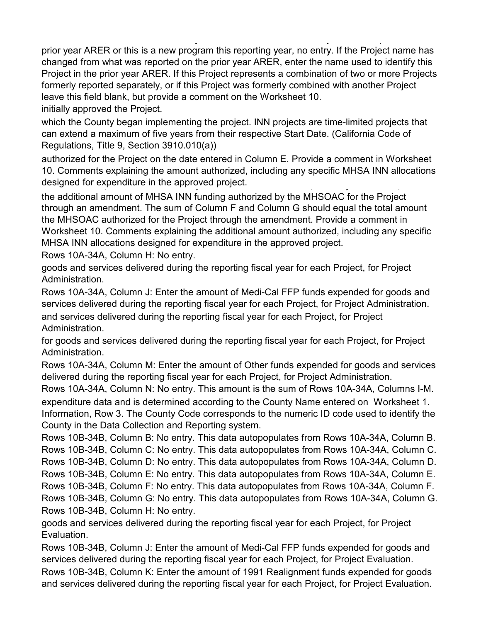, i.e., i.e., i.e., i.e., i.e., i.e., i.e., i.e., i.e., i.e., i.e., i.e., i.e., i.e., i.e., i.e., i.e., i.e., i.e., i.e., i.e., i.e., i.e., i.e., i.e., i.e., i.e., i.e., i.e., i.e., i.e., i.e., i.e., i.e., i.e., i.e., i.e prior year ARER or this is a new program this reporting year, no entry. If the Project name has changed from what was reported on the prior year ARER, enter the name used to identify this Project in the prior year ARER. If this Project represents a combination of two or more Projects formerly reported separately, or if this Project was formerly combined with another Project leave this field blank, but provide a comment on the Worksheet 10.

initially approved the Project.

which the County began implementing the project. INN projects are time-limited projects that can extend a maximum of five years from their respective Start Date. (California Code of Regulations, Title 9, Section 3910.010(a))

authorized for the Project on the date entered in Column E. Provide a comment in Worksheet 10. Comments explaining the amount authorized, including any specific MHSA INN allocations designed for expenditure in the approved project.

the additional amount of MHSA INN funding authorized by the MHSOAC for the Project through an amendment. The sum of Column F and Column G should equal the total amount the MHSOAC authorized for the Project through the amendment. Provide a comment in Worksheet 10. Comments explaining the additional amount authorized, including any specific MHSA INN allocations designed for expenditure in the approved project.

Rows 10A-34A, Column H: No entry.

goods and services delivered during the reporting fiscal year for each Project, for Project Administration.

Rows 10A-34A, Column J: Enter the amount of Medi-Cal FFP funds expended for goods and services delivered during the reporting fiscal year for each Project, for Project Administration. and services delivered during the reporting fiscal year for each Project, for Project Administration.

for goods and services delivered during the reporting fiscal year for each Project, for Project Administration.

Rows 10A-34A, Column M: Enter the amount of Other funds expended for goods and services delivered during the reporting fiscal year for each Project, for Project Administration.

Rows 10A-34A, Column N: No entry. This amount is the sum of Rows 10A-34A, Columns I-M. expenditure data and is determined according to the County Name entered on Worksheet 1. Information, Row 3. The County Code corresponds to the numeric ID code used to identify the

County in the Data Collection and Reporting system.

Rows 10B-34B, Column B: No entry. This data autopopulates from Rows 10A-34A, Column B. Rows 10B-34B, Column C: No entry. This data autopopulates from Rows 10A-34A, Column C. Rows 10B-34B, Column D: No entry. This data autopopulates from Rows 10A-34A, Column D. Rows 10B-34B, Column E: No entry. This data autopopulates from Rows 10A-34A, Column E. Rows 10B-34B, Column F: No entry. This data autopopulates from Rows 10A-34A, Column F. Rows 10B-34B, Column G: No entry. This data autopopulates from Rows 10A-34A, Column G. Rows 10B-34B, Column H: No entry.

goods and services delivered during the reporting fiscal year for each Project, for Project Evaluation.

Rows 10B-34B, Column J: Enter the amount of Medi-Cal FFP funds expended for goods and services delivered during the reporting fiscal year for each Project, for Project Evaluation. Rows 10B-34B, Column K: Enter the amount of 1991 Realignment funds expended for goods and services delivered during the reporting fiscal year for each Project, for Project Evaluation.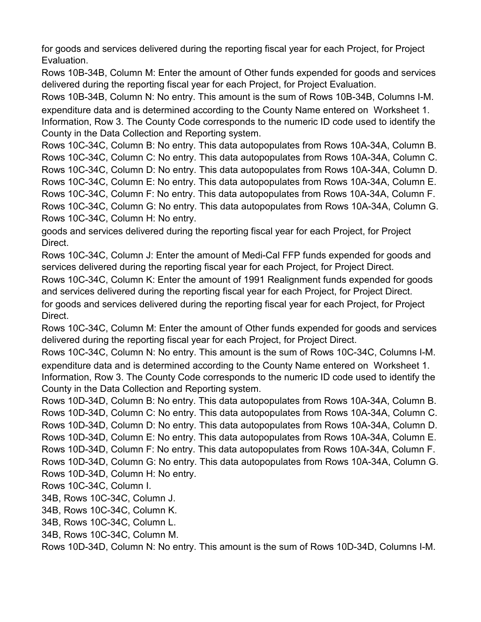for goods and services delivered during the reporting fiscal year for each Project, for Project Evaluation.

Rows 10B-34B, Column M: Enter the amount of Other funds expended for goods and services delivered during the reporting fiscal year for each Project, for Project Evaluation.

Rows 10B-34B, Column N: No entry. This amount is the sum of Rows 10B-34B, Columns I-M. expenditure data and is determined according to the County Name entered on Worksheet 1. Information, Row 3. The County Code corresponds to the numeric ID code used to identify the County in the Data Collection and Reporting system.

Rows 10C-34C, Column B: No entry. This data autopopulates from Rows 10A-34A, Column B. Rows 10C-34C, Column C: No entry. This data autopopulates from Rows 10A-34A, Column C. Rows 10C-34C, Column D: No entry. This data autopopulates from Rows 10A-34A, Column D. Rows 10C-34C, Column E: No entry. This data autopopulates from Rows 10A-34A, Column E. Rows 10C-34C, Column F: No entry. This data autopopulates from Rows 10A-34A, Column F. Rows 10C-34C, Column G: No entry. This data autopopulates from Rows 10A-34A, Column G. Rows 10C-34C, Column H: No entry.

goods and services delivered during the reporting fiscal year for each Project, for Project Direct.

Rows 10C-34C, Column J: Enter the amount of Medi-Cal FFP funds expended for goods and services delivered during the reporting fiscal year for each Project, for Project Direct.

Rows 10C-34C, Column K: Enter the amount of 1991 Realignment funds expended for goods and services delivered during the reporting fiscal year for each Project, for Project Direct. for goods and services delivered during the reporting fiscal year for each Project, for Project Direct.

Rows 10C-34C, Column M: Enter the amount of Other funds expended for goods and services delivered during the reporting fiscal year for each Project, for Project Direct.

Rows 10C-34C, Column N: No entry. This amount is the sum of Rows 10C-34C, Columns I-M. expenditure data and is determined according to the County Name entered on Worksheet 1. Information, Row 3. The County Code corresponds to the numeric ID code used to identify the County in the Data Collection and Reporting system.

Rows 10D-34D, Column B: No entry. This data autopopulates from Rows 10A-34A, Column B. Rows 10D-34D, Column C: No entry. This data autopopulates from Rows 10A-34A, Column C. Rows 10D-34D, Column D: No entry. This data autopopulates from Rows 10A-34A, Column D. Rows 10D-34D, Column E: No entry. This data autopopulates from Rows 10A-34A, Column E. Rows 10D-34D, Column F: No entry. This data autopopulates from Rows 10A-34A, Column F. Rows 10D-34D, Column G: No entry. This data autopopulates from Rows 10A-34A, Column G.

Rows 10D-34D, Column H: No entry.

Rows 10C-34C, Column I.

34B, Rows 10C-34C, Column J.

34B, Rows 10C-34C, Column K.

34B, Rows 10C-34C, Column L.

34B, Rows 10C-34C, Column M.

Rows 10D-34D, Column N: No entry. This amount is the sum of Rows 10D-34D, Columns I-M.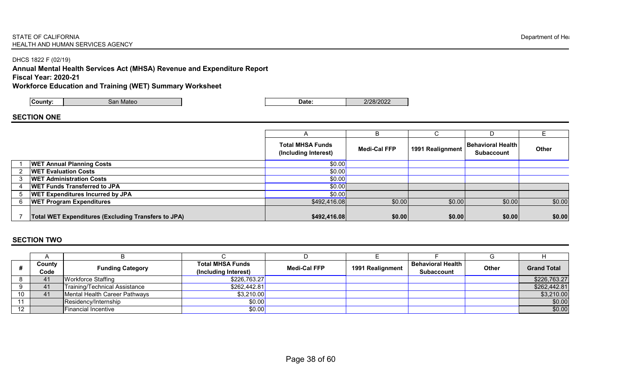#### STATE OF CALIFORNIA Department of Health and the set of the set of the set of the set of the set of the set of the set of the set of the set of the set of the set of the set of the set of the set of the set of the set of t HEALTH AND HUMAN SERVICES AGENCY

DHCS 1822 F (02/19)

**Annual Mental Health Services Act (MHSA) Revenue and Expenditure Report**

**Fiscal Year: 2020-21**

**Workforce Education and Training (WET) Summary Worksheet**

## **SECTION ONE**

|   |                                                            |                                                 |                     |                  | D                                               |              |
|---|------------------------------------------------------------|-------------------------------------------------|---------------------|------------------|-------------------------------------------------|--------------|
|   |                                                            | <b>Total MHSA Funds</b><br>(Including Interest) | <b>Medi-Cal FFP</b> | 1991 Realignment | Behavioral Health <i> </i><br><b>Subaccount</b> | <b>Other</b> |
|   | <b>WET Annual Planning Costs</b>                           | \$0.00]                                         |                     |                  |                                                 |              |
|   | <b>WET Evaluation Costs</b>                                | \$0.00                                          |                     |                  |                                                 |              |
|   | <b>WET Administration Costs</b>                            | \$0.00                                          |                     |                  |                                                 |              |
| 4 | <b>WET Funds Transferred to JPA</b>                        | \$0.00                                          |                     |                  |                                                 |              |
|   | <b>WET Expenditures Incurred by JPA</b>                    | \$0.00                                          |                     |                  |                                                 |              |
|   | <b>WET Program Expenditures</b>                            | \$492,416.08]                                   | \$0.00              | \$0.00           | \$0.00                                          | \$0.00       |
|   | <b>Total WET Expenditures (Excluding Transfers to JPA)</b> | \$492,416.08                                    | \$0.00              | \$0.00           | \$0.00                                          | \$0.00       |

## **SECTION TWO**

|    | County<br>Code | <b>Funding Category</b>       | <b>Total MHSA Funds</b><br>(Including Interest) | <b>Medi-Cal FFP</b> | 1991 Realignment | <b>Behavioral Health</b><br><b>Subaccount</b> | <b>Other</b> | <b>Grand Total</b> |
|----|----------------|-------------------------------|-------------------------------------------------|---------------------|------------------|-----------------------------------------------|--------------|--------------------|
|    | 41             | Workforce Staffing            | \$226,763.27                                    |                     |                  |                                               |              | \$226,763.27       |
|    | $-41$          | Training/Technical Assistance | \$262,442.81                                    |                     |                  |                                               |              | \$262,442.81       |
| 10 | 41             | Mental Health Career Pathways | \$3,210.00                                      |                     |                  |                                               |              | \$3,210.00         |
| 11 |                | Residency/Internship          | \$0.00                                          |                     |                  |                                               |              | \$0.00             |
| 12 |                | Financial Incentive           | \$0.00                                          |                     |                  |                                               |              | \$0.00             |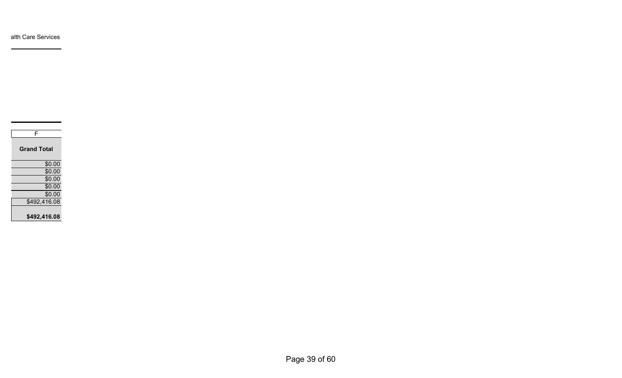| F                  |
|--------------------|
| <b>Grand Total</b> |
| \$0.00             |
| \$0.00             |
| \$0.00             |
| \$0.00             |
| \$0.00             |
| \$492,416.08       |
| \$492,416.08       |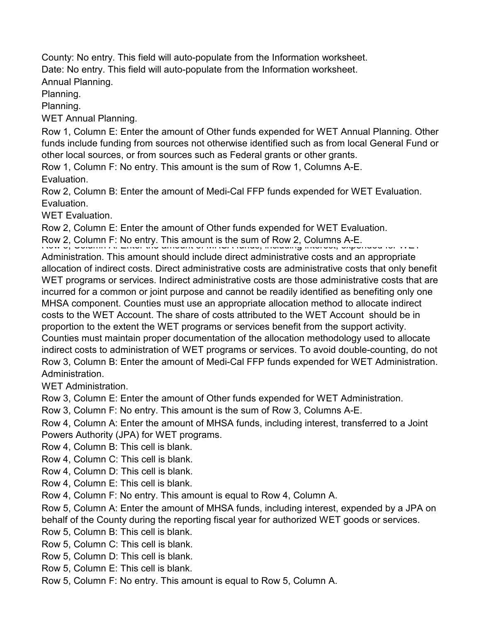County: No entry. This field will auto-populate from the Information worksheet. Date: No entry. This field will auto-populate from the Information worksheet. Annual Planning.

Planning.

Planning.

WET Annual Planning.

Row 1, Column E: Enter the amount of Other funds expended for WET Annual Planning. Other funds include funding from sources not otherwise identified such as from local General Fund or other local sources, or from sources such as Federal grants or other grants.

Row 1, Column F: No entry. This amount is the sum of Row 1, Columns A-E.

Evaluation.

Row 2, Column B: Enter the amount of Medi-Cal FFP funds expended for WET Evaluation. Evaluation.

WET Evaluation.

Row 2, Column E: Enter the amount of Other funds expended for WET Evaluation.

Row 2, Column F: No entry. This amount is the sum of Row 2, Columns A-E.<br>Row 3, Column A: Enter the amount of MHSA funds, including interest, exper

Administration. This amount should include direct administrative costs and an appropriate allocation of indirect costs. Direct administrative costs are administrative costs that only benefit WET programs or services. Indirect administrative costs are those administrative costs that are incurred for a common or joint purpose and cannot be readily identified as benefiting only one MHSA component. Counties must use an appropriate allocation method to allocate indirect costs to the WET Account. The share of costs attributed to the WET Account should be in proportion to the extent the WET programs or services benefit from the support activity. Counties must maintain proper documentation of the allocation methodology used to allocate indirect costs to administration of WET programs or services. To avoid double-counting, do not Row 3, Column B: Enter the amount of Medi-Cal FFP funds expended for WET Administration. Administration.

WET Administration.

Row 3, Column E: Enter the amount of Other funds expended for WET Administration.

Row 3, Column F: No entry. This amount is the sum of Row 3, Columns A-E.

Row 4, Column A: Enter the amount of MHSA funds, including interest, transferred to a Joint Powers Authority (JPA) for WET programs.

Row 4, Column B: This cell is blank.

Row 4, Column C: This cell is blank.

Row 4, Column D: This cell is blank.

Row 4, Column E: This cell is blank.

Row 4, Column F: No entry. This amount is equal to Row 4, Column A.

Row 5, Column A: Enter the amount of MHSA funds, including interest, expended by a JPA on

behalf of the County during the reporting fiscal year for authorized WET goods or services.

Row 5, Column B: This cell is blank.

- Row 5, Column C: This cell is blank.
- Row 5, Column D: This cell is blank.
- Row 5, Column E: This cell is blank.

Row 5, Column F: No entry. This amount is equal to Row 5, Column A.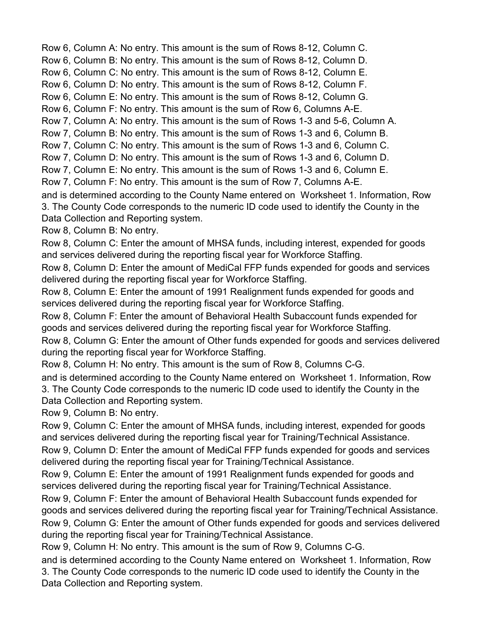Row 6, Column A: No entry. This amount is the sum of Rows 8-12, Column C.

Row 6, Column B: No entry. This amount is the sum of Rows 8-12, Column D.

Row 6, Column C: No entry. This amount is the sum of Rows 8-12, Column E.

Row 6, Column D: No entry. This amount is the sum of Rows 8-12, Column F.

Row 6, Column E: No entry. This amount is the sum of Rows 8-12, Column G.

Row 6, Column F: No entry. This amount is the sum of Row 6, Columns A-E.

Row 7, Column A: No entry. This amount is the sum of Rows 1-3 and 5-6, Column A.

Row 7, Column B: No entry. This amount is the sum of Rows 1-3 and 6, Column B.

Row 7, Column C: No entry. This amount is the sum of Rows 1-3 and 6, Column C.

Row 7, Column D: No entry. This amount is the sum of Rows 1-3 and 6, Column D.

Row 7, Column E: No entry. This amount is the sum of Rows 1-3 and 6, Column E.

Row 7, Column F: No entry. This amount is the sum of Row 7, Columns A-E.

and is determined according to the County Name entered on Worksheet 1. Information, Row 3. The County Code corresponds to the numeric ID code used to identify the County in the Data Collection and Reporting system.

Row 8, Column B: No entry.

Row 8, Column C: Enter the amount of MHSA funds, including interest, expended for goods and services delivered during the reporting fiscal year for Workforce Staffing.

Row 8, Column D: Enter the amount of MediCal FFP funds expended for goods and services delivered during the reporting fiscal year for Workforce Staffing.

Row 8, Column E: Enter the amount of 1991 Realignment funds expended for goods and services delivered during the reporting fiscal year for Workforce Staffing.

Row 8, Column F: Enter the amount of Behavioral Health Subaccount funds expended for goods and services delivered during the reporting fiscal year for Workforce Staffing.

Row 8, Column G: Enter the amount of Other funds expended for goods and services delivered during the reporting fiscal year for Workforce Staffing.

Row 8, Column H: No entry. This amount is the sum of Row 8, Columns C-G.

and is determined according to the County Name entered on Worksheet 1. Information, Row 3. The County Code corresponds to the numeric ID code used to identify the County in the Data Collection and Reporting system.

Row 9, Column B: No entry.

Row 9, Column C: Enter the amount of MHSA funds, including interest, expended for goods and services delivered during the reporting fiscal year for Training/Technical Assistance.

Row 9, Column D: Enter the amount of MediCal FFP funds expended for goods and services delivered during the reporting fiscal year for Training/Technical Assistance.

Row 9, Column E: Enter the amount of 1991 Realignment funds expended for goods and services delivered during the reporting fiscal year for Training/Technical Assistance.

Row 9, Column F: Enter the amount of Behavioral Health Subaccount funds expended for goods and services delivered during the reporting fiscal year for Training/Technical Assistance. Row 9, Column G: Enter the amount of Other funds expended for goods and services delivered

during the reporting fiscal year for Training/Technical Assistance.

Row 9, Column H: No entry. This amount is the sum of Row 9, Columns C-G.

and is determined according to the County Name entered on Worksheet 1. Information, Row 3. The County Code corresponds to the numeric ID code used to identify the County in the Data Collection and Reporting system.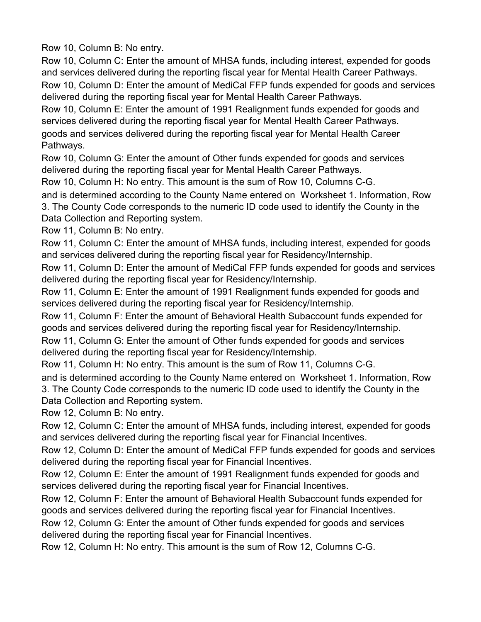Row 10, Column B: No entry.

Row 10, Column C: Enter the amount of MHSA funds, including interest, expended for goods and services delivered during the reporting fiscal year for Mental Health Career Pathways.

Row 10, Column D: Enter the amount of MediCal FFP funds expended for goods and services delivered during the reporting fiscal year for Mental Health Career Pathways.

Row 10, Column E: Enter the amount of 1991 Realignment funds expended for goods and services delivered during the reporting fiscal year for Mental Health Career Pathways. goods and services delivered during the reporting fiscal year for Mental Health Career Pathways.

Row 10, Column G: Enter the amount of Other funds expended for goods and services delivered during the reporting fiscal year for Mental Health Career Pathways.

Row 10, Column H: No entry. This amount is the sum of Row 10, Columns C-G.

and is determined according to the County Name entered on Worksheet 1. Information, Row 3. The County Code corresponds to the numeric ID code used to identify the County in the Data Collection and Reporting system.

Row 11, Column B: No entry.

Row 11, Column C: Enter the amount of MHSA funds, including interest, expended for goods and services delivered during the reporting fiscal year for Residency/Internship.

Row 11, Column D: Enter the amount of MediCal FFP funds expended for goods and services delivered during the reporting fiscal year for Residency/Internship.

Row 11, Column E: Enter the amount of 1991 Realignment funds expended for goods and services delivered during the reporting fiscal year for Residency/Internship.

Row 11, Column F: Enter the amount of Behavioral Health Subaccount funds expended for goods and services delivered during the reporting fiscal year for Residency/Internship.

Row 11, Column G: Enter the amount of Other funds expended for goods and services delivered during the reporting fiscal year for Residency/Internship.

Row 11, Column H: No entry. This amount is the sum of Row 11, Columns C-G.

and is determined according to the County Name entered on Worksheet 1. Information, Row 3. The County Code corresponds to the numeric ID code used to identify the County in the Data Collection and Reporting system.

Row 12, Column B: No entry.

Row 12, Column C: Enter the amount of MHSA funds, including interest, expended for goods and services delivered during the reporting fiscal year for Financial Incentives.

Row 12, Column D: Enter the amount of MediCal FFP funds expended for goods and services delivered during the reporting fiscal year for Financial Incentives.

Row 12, Column E: Enter the amount of 1991 Realignment funds expended for goods and services delivered during the reporting fiscal year for Financial Incentives.

Row 12, Column F: Enter the amount of Behavioral Health Subaccount funds expended for goods and services delivered during the reporting fiscal year for Financial Incentives.

Row 12, Column G: Enter the amount of Other funds expended for goods and services delivered during the reporting fiscal year for Financial Incentives.

Row 12, Column H: No entry. This amount is the sum of Row 12, Columns C-G.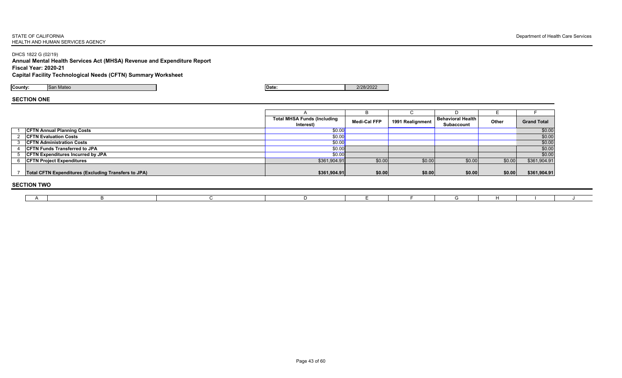#### **STATE OF CALIFORNIA** Department of Health Care Services HEALTH AND HUMAN SERVICES AGENCY

DHCS 1822 G (02/19)

**Annual Mental Health Services Act (MHSA) Revenue and Expenditure Report Fiscal Year: 2020-21 Capital Facility Technological Needs (CFTN) Summary Worksheet**

**County:** San Mateo **Date:** 2/28/2022

# **SECTION ONE**

|                                                             | <b>Total MHSA Funds (Including</b><br>Interest) | <b>Medi-Cal FFP</b> | 1991 Realignment | <b>Behavioral Health</b><br><b>Subaccount</b> | <b>Other</b> | <b>Grand Total</b> |  |  |  |  |  |  |
|-------------------------------------------------------------|-------------------------------------------------|---------------------|------------------|-----------------------------------------------|--------------|--------------------|--|--|--|--|--|--|
| <b>CFTN Annual Planning Costs</b>                           | \$0.00                                          |                     |                  |                                               |              | \$0.00             |  |  |  |  |  |  |
| <b>CFTN Evaluation Costs</b>                                | \$0.00                                          |                     |                  |                                               |              | \$0.00             |  |  |  |  |  |  |
| <b>CFTN Administration Costs</b>                            | \$0.00                                          |                     |                  |                                               |              | \$0.00             |  |  |  |  |  |  |
| <b>CFTN Funds Transferred to JPA</b>                        | \$0.00                                          |                     |                  |                                               |              | \$0.00             |  |  |  |  |  |  |
| <b>CFTN Expenditures Incurred by JPA</b>                    | \$0.00                                          |                     |                  |                                               |              | \$0.00             |  |  |  |  |  |  |
| <b>CFTN Project Expenditures</b>                            | \$361,904.91]                                   | \$0.00              | \$0.00           | \$0.00                                        | \$0.00       | \$361,904.91       |  |  |  |  |  |  |
| <b>Total CFTN Expenditures (Excluding Transfers to JPA)</b> | \$361,904.91                                    | \$0.00              | \$0.00           | \$0.00                                        | \$0.00       | \$361,904.91       |  |  |  |  |  |  |
|                                                             |                                                 |                     |                  |                                               |              |                    |  |  |  |  |  |  |

### **SECTION TWO**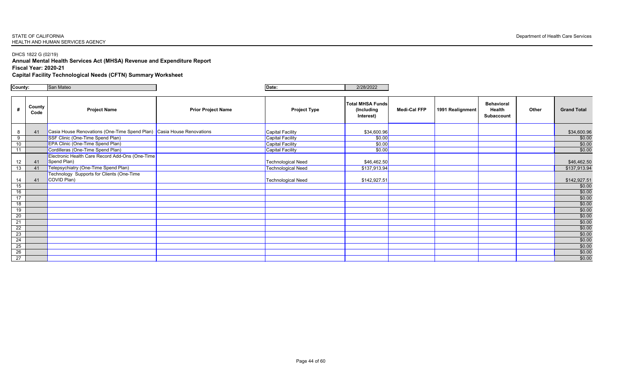#### **STATE OF CALIFORNIA** Department of Health Care Services HEALTH AND HUMAN SERVICES AGENCY

# DHCS 1822 G (02/19)

**Annual Mental Health Services Act (MHSA) Revenue and Expenditure Report Fiscal Year: 2020-21**

**Capital Facility Technological Needs (CFTN) Summary Worksheet**

| County:         |                | San Mateo                                                             |                           | Date:                     | 2/28/2022                                          |                     |                  |                                                         |              |                    |
|-----------------|----------------|-----------------------------------------------------------------------|---------------------------|---------------------------|----------------------------------------------------|---------------------|------------------|---------------------------------------------------------|--------------|--------------------|
|                 |                |                                                                       |                           |                           |                                                    |                     |                  |                                                         |              |                    |
| #               | County<br>Code | <b>Project Name</b>                                                   | <b>Prior Project Name</b> | <b>Project Type</b>       | <b>Total MHSA Funds</b><br>(Including<br>Interest) | <b>Medi-Cal FFP</b> | 1991 Realignment | <b>Behavioral</b><br><b>Health</b><br><b>Subaccount</b> | <b>Other</b> | <b>Grand Total</b> |
| 8               | 41             | Casia House Renovations (One-Time Spend Plan) Casia House Renovations |                           | Capital Facility          | \$34,600.96                                        |                     |                  |                                                         |              | \$34,600.96        |
| 9               |                | SSF Clinic (One-Time Spend Plan)                                      |                           | Capital Facility          | \$0.00                                             |                     |                  |                                                         |              | \$0.00             |
| 10 <sup>°</sup> |                | <b>EPA Clinic (One-Time Spend Plan)</b>                               |                           | Capital Facility          | \$0.00                                             |                     |                  |                                                         |              | \$0.00             |
| 11              |                | Cordilleras (One-Time Spend Plan)                                     |                           | <b>Capital Facility</b>   | \$0.00                                             |                     |                  |                                                         |              | \$0.00             |
|                 |                | Electronic Health Care Record Add-Ons (One-Time                       |                           |                           |                                                    |                     |                  |                                                         |              |                    |
| 12              | 41             | Spend Plan)                                                           |                           | <b>Technological Need</b> | \$46,462.50                                        |                     |                  |                                                         |              | \$46,462.50        |
| 13              | 41             | Telepsychiatry (One-Time Spend Plan)                                  |                           | <b>Technological Need</b> | \$137,913.94                                       |                     |                  |                                                         |              | \$137,913.94       |
| 14              | 41             | <b>Technology Supports for Clients (One-Time</b><br>COVID Plan)       |                           | Technological Need        | \$142,927.51                                       |                     |                  |                                                         |              | \$142,927.51       |
| 15              |                |                                                                       |                           |                           |                                                    |                     |                  |                                                         |              | \$0.00             |
| 16              |                |                                                                       |                           |                           |                                                    |                     |                  |                                                         |              | \$0.00             |
| 17              |                |                                                                       |                           |                           |                                                    |                     |                  |                                                         |              | \$0.00             |
| 18              |                |                                                                       |                           |                           |                                                    |                     |                  |                                                         |              | \$0.00             |
| 19              |                |                                                                       |                           |                           |                                                    |                     |                  |                                                         |              | \$0.00             |
| 20              |                |                                                                       |                           |                           |                                                    |                     |                  |                                                         |              | \$0.00             |
| 21              |                |                                                                       |                           |                           |                                                    |                     |                  |                                                         |              | \$0.00             |
| $\overline{22}$ |                |                                                                       |                           |                           |                                                    |                     |                  |                                                         |              | \$0.00             |
| 23              |                |                                                                       |                           |                           |                                                    |                     |                  |                                                         |              | \$0.00             |
| $\overline{24}$ |                |                                                                       |                           |                           |                                                    |                     |                  |                                                         |              | \$0.00             |
| 25              |                |                                                                       |                           |                           |                                                    |                     |                  |                                                         |              | \$0.00             |
| 26              |                |                                                                       |                           |                           |                                                    |                     |                  |                                                         |              | \$0.00             |
| 27              |                |                                                                       |                           |                           |                                                    |                     |                  |                                                         |              | \$0.00             |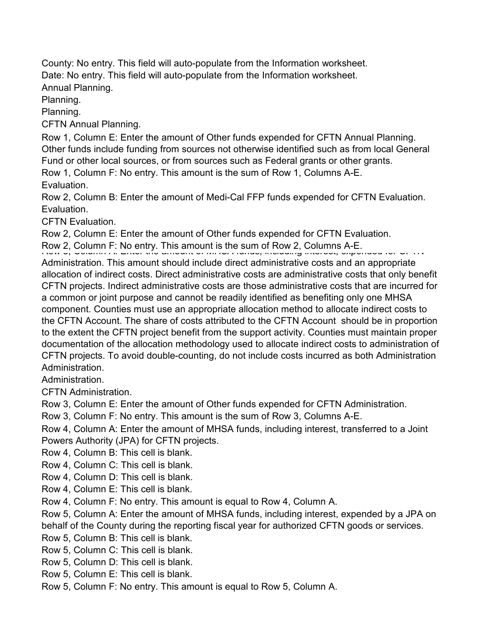County: No entry. This field will auto-populate from the Information worksheet. Date: No entry. This field will auto-populate from the Information worksheet.

Annual Planning.

Planning.

Planning.

CFTN Annual Planning.

Row 1, Column E: Enter the amount of Other funds expended for CFTN Annual Planning. Other funds include funding from sources not otherwise identified such as from local General Fund or other local sources, or from sources such as Federal grants or other grants.

Row 1, Column F: No entry. This amount is the sum of Row 1, Columns A-E. Evaluation.

Row 2, Column B: Enter the amount of Medi-Cal FFP funds expended for CFTN Evaluation. Evaluation.

CFTN Evaluation.

Row 2, Column E: Enter the amount of Other funds expended for CFTN Evaluation.

Row 2, Column F: No entry. This amount is the sum of Row 2, Columns A-E.<br>المساعدة المساعدة السياسية التي تصوير المساعدة السياسية المساعدة المساعدة المساعدة المساعدة بعد المساعدة التي

Administration. This amount should include direct administrative costs and an appropriate allocation of indirect costs. Direct administrative costs are administrative costs that only benefit CFTN projects. Indirect administrative costs are those administrative costs that are incurred for a common or joint purpose and cannot be readily identified as benefiting only one MHSA component. Counties must use an appropriate allocation method to allocate indirect costs to the CFTN Account. The share of costs attributed to the CFTN Account should be in proportion to the extent the CFTN project benefit from the support activity. Counties must maintain proper documentation of the allocation methodology used to allocate indirect costs to administration of CFTN projects. To avoid double-counting, do not include costs incurred as both Administration Administration.

Administration.

CFTN Administration.

Row 3, Column E: Enter the amount of Other funds expended for CFTN Administration.

Row 3, Column F: No entry. This amount is the sum of Row 3, Columns A-E.

Row 4, Column A: Enter the amount of MHSA funds, including interest, transferred to a Joint Powers Authority (JPA) for CFTN projects.

Row 4, Column B: This cell is blank.

Row 4, Column C: This cell is blank.

Row 4, Column D: This cell is blank.

Row 4, Column E: This cell is blank.

Row 4, Column F: No entry. This amount is equal to Row 4, Column A.

Row 5, Column A: Enter the amount of MHSA funds, including interest, expended by a JPA on

behalf of the County during the reporting fiscal year for authorized CFTN goods or services.

Row 5, Column B: This cell is blank.

Row 5, Column C: This cell is blank.

Row 5, Column D: This cell is blank.

Row 5, Column E: This cell is blank.

Row 5, Column F: No entry. This amount is equal to Row 5, Column A.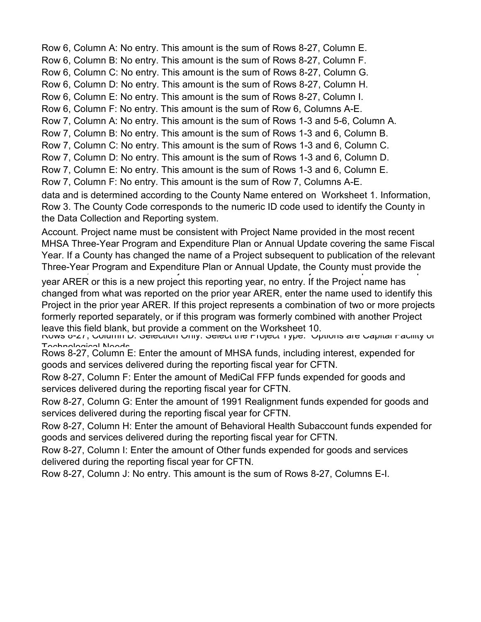Row 6, Column A: No entry. This amount is the sum of Rows 8-27, Column E.

Row 6, Column B: No entry. This amount is the sum of Rows 8-27, Column F.

Row 6, Column C: No entry. This amount is the sum of Rows 8-27, Column G.

Row 6, Column D: No entry. This amount is the sum of Rows 8-27, Column H.

Row 6, Column E: No entry. This amount is the sum of Rows 8-27, Column I.

Row 6, Column F: No entry. This amount is the sum of Row 6, Columns A-E.

Row 7, Column A: No entry. This amount is the sum of Rows 1-3 and 5-6, Column A.

Row 7, Column B: No entry. This amount is the sum of Rows 1-3 and 6, Column B.

Row 7, Column C: No entry. This amount is the sum of Rows 1-3 and 6, Column C.

Row 7, Column D: No entry. This amount is the sum of Rows 1-3 and 6, Column D.

Row 7, Column E: No entry. This amount is the sum of Rows 1-3 and 6, Column E.

Row 7, Column F: No entry. This amount is the sum of Row 7, Columns A-E.

data and is determined according to the County Name entered on Worksheet 1. Information, Row 3. The County Code corresponds to the numeric ID code used to identify the County in the Data Collection and Reporting system.

Account. Project name must be consistent with Project Name provided in the most recent MHSA Three-Year Program and Expenditure Plan or Annual Update covering the same Fiscal Year. If a County has changed the name of a Project subsequent to publication of the relevant Three-Year Program and Expenditure Plan or Annual Update, the County must provide the

year ARER or this is a new project this reporting year, no entry. If the Project name has changed from what was reported on the prior year ARER, enter the name used to identify this Project in the prior year ARER. If this project represents a combination of two or more projects formerly reported separately, or if this program was formerly combined with another Project leave this field blank, but provide a comment on the Worksheet 10.

Rows 6-27, Column D. Selection Only. Select the Project Type. Options are Capital Facility or Technological Needs<br>Rows 8-27, Column E: Enter the amount of MHSA funds, including interest, expended for

goods and services delivered during the reporting fiscal year for CFTN.

Row 8-27, Column F: Enter the amount of MediCal FFP funds expended for goods and services delivered during the reporting fiscal year for CFTN.

Row 8-27, Column G: Enter the amount of 1991 Realignment funds expended for goods and services delivered during the reporting fiscal year for CFTN.

Row 8-27, Column H: Enter the amount of Behavioral Health Subaccount funds expended for goods and services delivered during the reporting fiscal year for CFTN.

Row 8-27, Column I: Enter the amount of Other funds expended for goods and services delivered during the reporting fiscal year for CFTN.

Row 8-27, Column J: No entry. This amount is the sum of Rows 8-27, Columns E-I.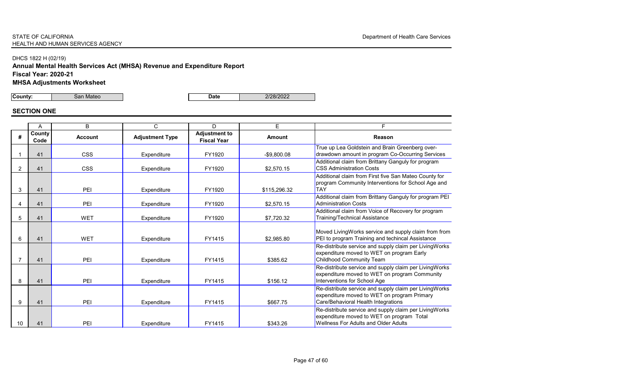## DHCS 1822 H (02/19)

# **Annual Mental Health Services Act (MHSA) Revenue and Expenditure Report**

**Fiscal Year: 2020-21**

**MHSA Adjustments Worksheet** 

**County:**  $\begin{array}{|c|c|c|c|c|c|}\n\hline\n\textbf{County:} & \textbf{San Mateo} & \textbf{Date} & \textbf{Date} & \textbf{2/28/2022} & \textbf{2/28/2022} & \textbf{2/28/2022} & \textbf{2/28/2022} & \textbf{2/28/2022} & \textbf{2/28/2022} & \textbf{2/28/2022} & \textbf{2/28/2022} & \textbf{2/28/2022} & \textbf{2/28/2022} & \textbf$ 

## **SECTION ONE**

|                 | $\overline{A}$ | B              | $\mathsf{C}$           | D                                          | E.            | F.                                                                                                                           |
|-----------------|----------------|----------------|------------------------|--------------------------------------------|---------------|------------------------------------------------------------------------------------------------------------------------------|
| #               | County<br>Code | <b>Account</b> | <b>Adjustment Type</b> | <b>Adjustment to</b><br><b>Fiscal Year</b> | <b>Amount</b> | <b>Reason</b>                                                                                                                |
|                 | 41             | <b>CSS</b>     | Expenditure            | FY1920                                     | $-$9,800.08$  | True up Lea Goldstein and Brain Gree<br>drawdown amount in program Co-Occl                                                   |
| $\overline{2}$  | 41             | <b>CSS</b>     | Expenditure            | FY1920                                     | \$2,570.15    | <b>Additional claim from Brittany Ganguly</b><br><b>CSS Administration Costs</b>                                             |
| 3               | 41             | PEI            | Expenditure            | FY1920                                     | \$115,296.32  | Additional claim from First five San Ma<br>program Community Interventions for \$<br><b>TAY</b>                              |
| 4               | 41             | PEI            | Expenditure            | FY1920                                     | \$2,570.15    | Additional claim from Brittany Ganguly<br><b>Administration Costs</b>                                                        |
| $5\overline{)}$ | 41             | <b>WET</b>     | Expenditure            | FY1920                                     | \$7,720.32    | Additional claim from Voice of Recover<br><b>Training/Technical Assistance</b>                                               |
| 6               | 41             | <b>WET</b>     | Expenditure            | FY1415                                     | \$2,985.80    | Moved LivingWorks service and supply<br>PEI to program Training and techincal                                                |
|                 | 41             | PEI            | Expenditure            | FY1415                                     | \$385.62      | Re-distribute service and supply claim<br>expenditure moved to WET on prograr<br><b>Childhood Community Team</b>             |
| 8               | 41             | PEI            | Expenditure            | FY1415                                     | \$156.12      | Re-distribute service and supply claim<br>expenditure moved to WET on prograr<br>Interventions for School Age                |
| 9               | 41             | PEI            | Expenditure            | FY1415                                     | \$667.75      | Re-distribute service and supply claim<br>expenditure moved to WET on prograr<br>Care/Behavioral Health Integrations         |
| 10 <sup>°</sup> | 41             | PEI            | Expenditure            | FY1415                                     | \$343.26      | Re-distribute service and supply claim<br>expenditure moved to WET on prograr<br><b>Wellness For Adults and Older Adults</b> |

enberg overcurring Services  $\overline{\prime}$  for program

ateo County for School Age and

for program PEI

ery for program

ly claim from from **Assistance Per LivingWorks** am Early

**Per LivingWorks Example 15** 

Referstiving Works  $\mathop{\mathsf{im}}\nolimits$  Primary

reer LivingWorks m Total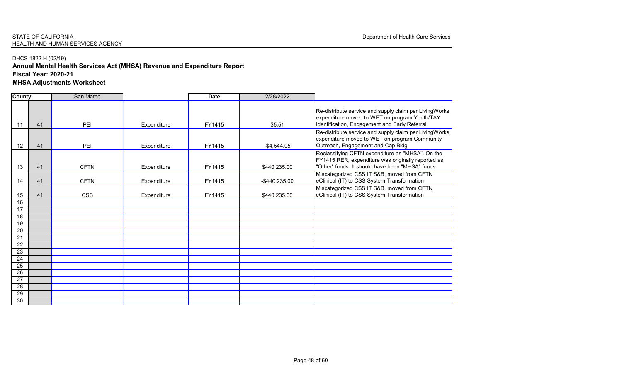## DHCS 1822 H (02/19)

# **Annual Mental Health Services Act (MHSA) Revenue and Expenditure Report**

**Fiscal Year: 2020-21**

**MHSA Adjustments Worksheet** 

| <b>County:</b>        |    | San Mateo   |             | <b>Date</b> | 2/28/2022        |                                                                                                                         |
|-----------------------|----|-------------|-------------|-------------|------------------|-------------------------------------------------------------------------------------------------------------------------|
| 11                    | 41 | PEI         | Expenditure | FY1415      | \$5.51           | Re-distribute service and supply claim<br>expenditure moved to WET on progran<br>Identification, Engagement and Early R |
| 12                    | 41 | PEI         | Expenditure | FY1415      | $-$ \$4,544.05   | Re-distribute service and supply claim<br>expenditure moved to WET on progran<br>Outreach, Engagement and Cap Bldg      |
| 13                    | 41 | <b>CFTN</b> | Expenditure | FY1415      | \$440,235.00     | Reclassifying CFTN expenditure as "MI<br>FY1415 RER, expenditure was original<br>"Other" funds. It should have been "MH |
| 14                    | 41 | <b>CFTN</b> | Expenditure | FY1415      | $-$ \$440,235.00 | Miscategorized CSS IT S&B, moved fro<br>eClinical (IT) to CSS System Transform                                          |
| 15                    | 41 | <b>CSS</b>  | Expenditure | FY1415      | \$440,235.00     | Miscategorized CSS IT S&B, moved fro<br>eClinical (IT) to CSS System Transform                                          |
| 16                    |    |             |             |             |                  |                                                                                                                         |
| 17<br>18              |    |             |             |             |                  |                                                                                                                         |
| $\overline{19}$       |    |             |             |             |                  |                                                                                                                         |
| 20                    |    |             |             |             |                  |                                                                                                                         |
| $\overline{21}$       |    |             |             |             |                  |                                                                                                                         |
| 22                    |    |             |             |             |                  |                                                                                                                         |
| $\overline{23}$       |    |             |             |             |                  |                                                                                                                         |
| $\overline{24}$       |    |             |             |             |                  |                                                                                                                         |
| $\overline{25}$       |    |             |             |             |                  |                                                                                                                         |
| 26<br>$\overline{27}$ |    |             |             |             |                  |                                                                                                                         |
| 28                    |    |             |             |             |                  |                                                                                                                         |
| 29                    |    |             |             |             |                  |                                                                                                                         |
| 30                    |    |             |             |             |                  |                                                                                                                         |
|                       |    |             |             |             |                  |                                                                                                                         |

Per LivingWorks m Youth/TAY Referral **Per LivingWorks** expenditure moved to moved the moved to move that the moved to the MET on the MET on the MET on the moved to the MET on the MET on the MET on the Community of the MET on the MET on the MET on the MET on the MET on the MET **IHSA". On the** ally reported as .<br>HSA" funds.  $\overline{\text{rom CFTN}}$ nation rom CFTN nation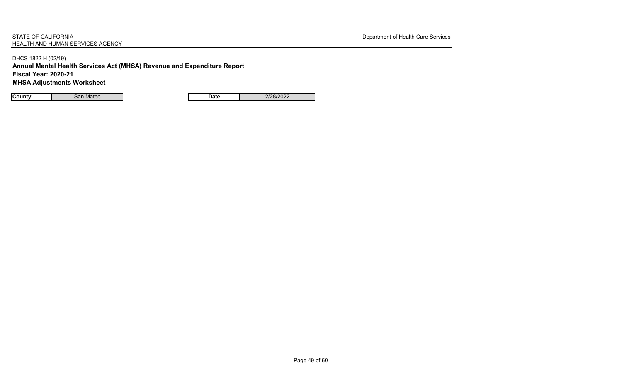DHCS 1822 H (02/19)

**Annual Mental Health Services Act (MHSA) Revenue and Expenditure Report**

**Fiscal Year: 2020-21**

**MHSA Adjustments Worksheet** 

| <b>County:</b> | san<br>Mateo | Date | 10010000<br>$\sim$ OLZ<br>.UZZ |
|----------------|--------------|------|--------------------------------|
|----------------|--------------|------|--------------------------------|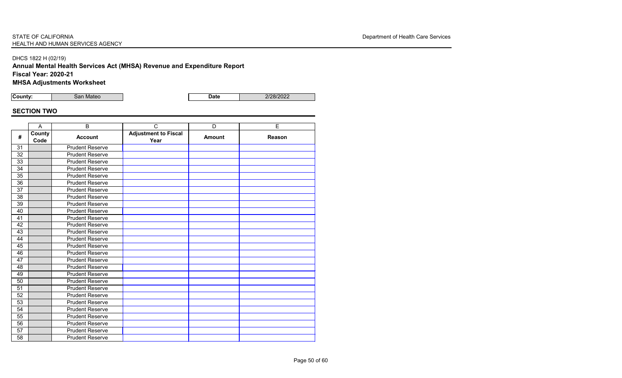# **Annual Mental Health Services Act (MHSA) Revenue and Expenditure Report**

**Fiscal Year: 2020-21**

**MHSA Adjustments Worksheet** 

**County:** San Mateo **Date Date** 2/28/2022

# **SECTION TWO**

|                 | $\overline{A}$ | B                      | $\mathsf{C}$                        | D             | $\overline{E}$ |
|-----------------|----------------|------------------------|-------------------------------------|---------------|----------------|
| #               | County<br>Code | <b>Account</b>         | <b>Adjustment to Fiscal</b><br>Year | <b>Amount</b> | <b>Reason</b>  |
| 31              |                | <b>Prudent Reserve</b> |                                     |               |                |
| 32              |                | <b>Prudent Reserve</b> |                                     |               |                |
| 33              |                | <b>Prudent Reserve</b> |                                     |               |                |
| 34              |                | <b>Prudent Reserve</b> |                                     |               |                |
| 35              |                | <b>Prudent Reserve</b> |                                     |               |                |
| 36              |                | <b>Prudent Reserve</b> |                                     |               |                |
| 37              |                | <b>Prudent Reserve</b> |                                     |               |                |
| 38              |                | <b>Prudent Reserve</b> |                                     |               |                |
| 39              |                | <b>Prudent Reserve</b> |                                     |               |                |
| 40              |                | <b>Prudent Reserve</b> |                                     |               |                |
| 41              |                | <b>Prudent Reserve</b> |                                     |               |                |
| 42              |                | <b>Prudent Reserve</b> |                                     |               |                |
| 43              |                | <b>Prudent Reserve</b> |                                     |               |                |
| 44              |                | <b>Prudent Reserve</b> |                                     |               |                |
| 45              |                | <b>Prudent Reserve</b> |                                     |               |                |
| 46              |                | <b>Prudent Reserve</b> |                                     |               |                |
| 47              |                | <b>Prudent Reserve</b> |                                     |               |                |
| 48              |                | <b>Prudent Reserve</b> |                                     |               |                |
| 49              |                | <b>Prudent Reserve</b> |                                     |               |                |
| 50              |                | <b>Prudent Reserve</b> |                                     |               |                |
| 51              |                | <b>Prudent Reserve</b> |                                     |               |                |
| 52              |                | <b>Prudent Reserve</b> |                                     |               |                |
| 53              |                | <b>Prudent Reserve</b> |                                     |               |                |
| $\overline{54}$ |                | <b>Prudent Reserve</b> |                                     |               |                |
| 55              |                | <b>Prudent Reserve</b> |                                     |               |                |
| 56              |                | <b>Prudent Reserve</b> |                                     |               |                |
| 57              |                | <b>Prudent Reserve</b> |                                     |               |                |
| 58              |                | <b>Prudent Reserve</b> |                                     |               |                |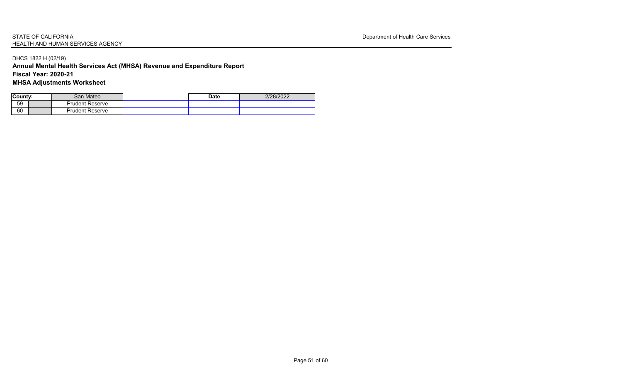## DHCS 1822 H (02/19)

## **Annual Mental Health Services Act (MHSA) Revenue and Expenditure Report Fiscal Year: 2020-21**

**MHSA Adjustments Worksheet** 

| County: | San Mateo              | <b>Date</b> | 2/28/2022 |
|---------|------------------------|-------------|-----------|
| 59      | <b>Prudent Reserve</b> |             |           |
| 60      | <b>Prudent Reserve</b> |             |           |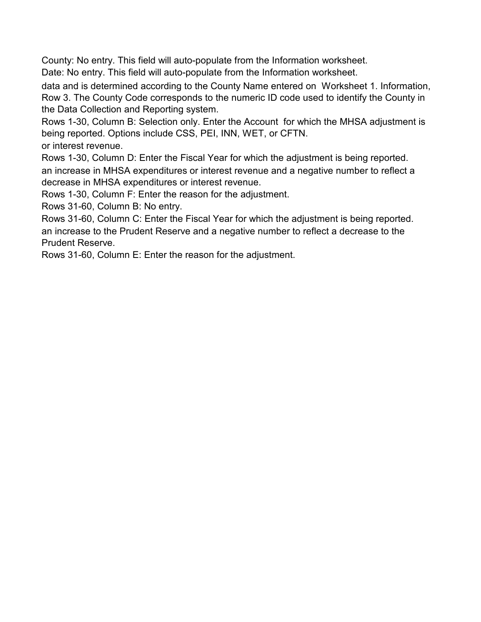County: No entry. This field will auto-populate from the Information worksheet.

Date: No entry. This field will auto-populate from the Information worksheet.

data and is determined according to the County Name entered on Worksheet 1. Information, Row 3. The County Code corresponds to the numeric ID code used to identify the County in the Data Collection and Reporting system.

Rows 1-30, Column B: Selection only. Enter the Account for which the MHSA adjustment is being reported. Options include CSS, PEI, INN, WET, or CFTN. or interest revenue.

Rows 1-30, Column D: Enter the Fiscal Year for which the adjustment is being reported. an increase in MHSA expenditures or interest revenue and a negative number to reflect a decrease in MHSA expenditures or interest revenue.

Rows 1-30, Column F: Enter the reason for the adjustment.

Rows 31-60, Column B: No entry.

Rows 31-60, Column C: Enter the Fiscal Year for which the adjustment is being reported. an increase to the Prudent Reserve and a negative number to reflect a decrease to the Prudent Reserve.

Rows 31-60, Column E: Enter the reason for the adjustment.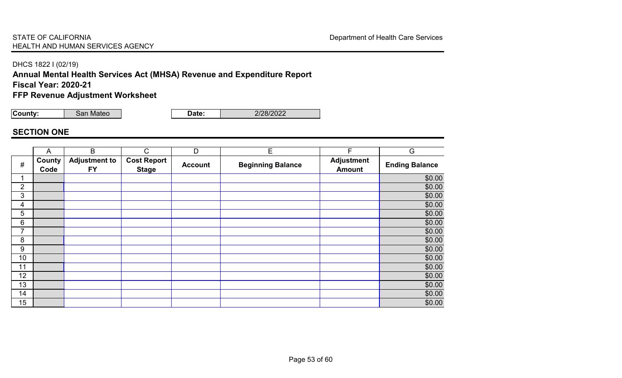#### DHCS 1822 I (02/19)

**Annual Mental Health Services Act (MHSA) Revenue and Expenditure Report Fiscal Year: 2020-21**

**FFP Revenue Adjustment Worksheet**

**County:** San Mateo **Date:** 2/28/2022

## **SECTION ONE**

|                | $\overline{A}$ | B                                 | $\mathsf{C}$                       | D              | E                        | F                                  | G                     |
|----------------|----------------|-----------------------------------|------------------------------------|----------------|--------------------------|------------------------------------|-----------------------|
| $\#$           | County<br>Code | <b>Adjustment to</b><br><b>FY</b> | <b>Cost Report</b><br><b>Stage</b> | <b>Account</b> | <b>Beginning Balance</b> | <b>Adjustment</b><br><b>Amount</b> | <b>Ending Balance</b> |
|                |                |                                   |                                    |                |                          |                                    | \$0.00                |
| $\overline{2}$ |                |                                   |                                    |                |                          |                                    | \$0.00                |
| 3              |                |                                   |                                    |                |                          |                                    | \$0.00                |
| 4              |                |                                   |                                    |                |                          |                                    | \$0.00                |
| 5              |                |                                   |                                    |                |                          |                                    | \$0.00                |
| 6              |                |                                   |                                    |                |                          |                                    | \$0.00                |
| 7              |                |                                   |                                    |                |                          |                                    | \$0.00                |
| 8              |                |                                   |                                    |                |                          |                                    | \$0.00                |
| 9              |                |                                   |                                    |                |                          |                                    | \$0.00                |
| 10             |                |                                   |                                    |                |                          |                                    | \$0.00                |
| 11             |                |                                   |                                    |                |                          |                                    | \$0.00                |
| 12             |                |                                   |                                    |                |                          |                                    | \$0.00                |
| 13             |                |                                   |                                    |                |                          |                                    | \$0.00                |
| 14             |                |                                   |                                    |                |                          |                                    | \$0.00                |
| 15             |                |                                   |                                    |                |                          |                                    | \$0.00                |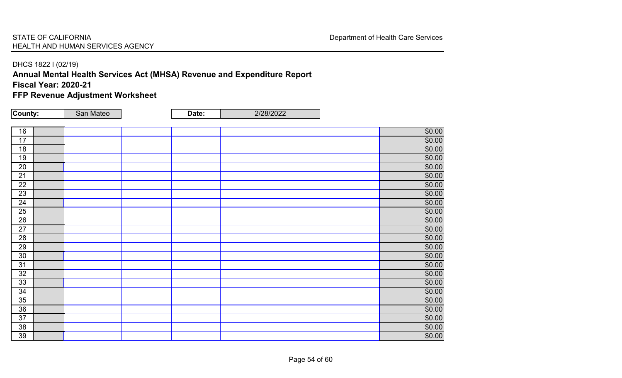#### DHCS 1822 I (02/19)

**Annual Mental Health Services Act (MHSA) Revenue and Expenditure Report Fiscal Year: 2020-21**

**FFP Revenue Adjustment Worksheet**

| County:         | San Mateo | Date: | 2/28/2022 |        |
|-----------------|-----------|-------|-----------|--------|
|                 |           |       |           |        |
| 16              |           |       |           | \$0.00 |
| 17              |           |       |           | \$0.00 |
| 18              |           |       |           | \$0.00 |
| 19              |           |       |           | \$0.00 |
| 20              |           |       |           | \$0.00 |
| $\overline{21}$ |           |       |           | \$0.00 |
| $\overline{22}$ |           |       |           | \$0.00 |
| 23              |           |       |           | \$0.00 |
| 24              |           |       |           | \$0.00 |
| 25              |           |       |           | \$0.00 |
| $\overline{26}$ |           |       |           | \$0.00 |
| 27              |           |       |           | \$0.00 |
| 28              |           |       |           | \$0.00 |
| 29              |           |       |           | \$0.00 |
| 30              |           |       |           | \$0.00 |
| 31              |           |       |           | \$0.00 |
| 32              |           |       |           | \$0.00 |
| 33              |           |       |           | \$0.00 |
| 34              |           |       |           | \$0.00 |
| 35              |           |       |           | \$0.00 |
| 36              |           |       |           | \$0.00 |
| 37              |           |       |           | \$0.00 |
| 38              |           |       |           | \$0.00 |
| 39              |           |       |           | \$0.00 |
|                 |           |       |           |        |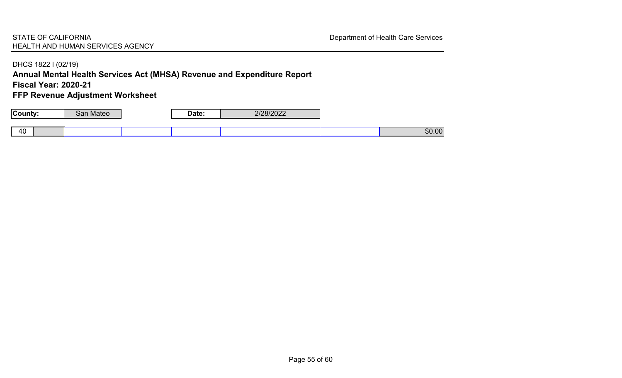#### DHCS 1822 I (02/19)

**Annual Mental Health Services Act (MHSA) Revenue and Expenditure Report Fiscal Year: 2020-21**

**FFP Revenue Adjustment Worksheet**

| $C_{\text{O}}$    | ateo | Date: | 0.000000<br><i><b>ZIZOIZUZZ</b></i> |                    |
|-------------------|------|-------|-------------------------------------|--------------------|
|                   |      |       |                                     |                    |
| $\sqrt{2}$<br>40. |      |       |                                     | \$0.00<br>$\Omega$ |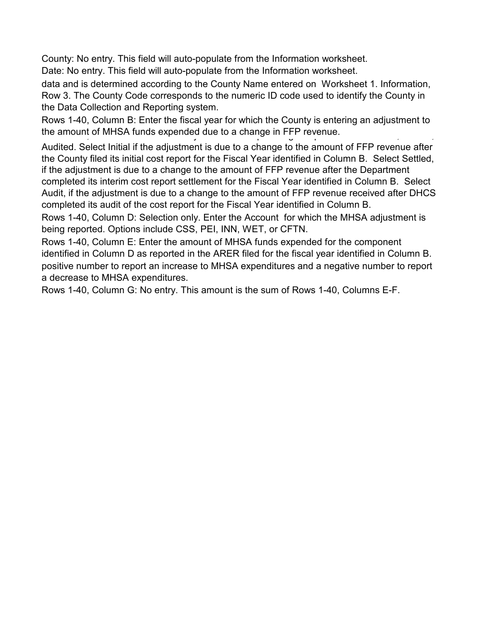County: No entry. This field will auto-populate from the Information worksheet.

Date: No entry. This field will auto-populate from the Information worksheet.

data and is determined according to the County Name entered on Worksheet 1. Information, Row 3. The County Code corresponds to the numeric ID code used to identify the County in the Data Collection and Reporting system.

Rows 1-40, Column B: Enter the fiscal year for which the County is entering an adjustment to the amount of MHSA funds expended due to a change in FFP revenue.

Audited. Select Initial if the adjustment is due to a change to the amount of FFP revenue after the County filed its initial cost report for the Fiscal Year identified in Column B. Select Settled, if the adjustment is due to a change to the amount of FFP revenue after the Department completed its interim cost report settlement for the Fiscal Year identified in Column B. Select Audit, if the adjustment is due to a change to the amount of FFP revenue received after DHCS completed its audit of the cost report for the Fiscal Year identified in Column B.

Rows 1-40, Column D: Selection only. Enter the Account for which the MHSA adjustment is being reported. Options include CSS, PEI, INN, WET, or CFTN.

Rows 1-40, Column E: Enter the amount of MHSA funds expended for the component identified in Column D as reported in the ARER filed for the fiscal year identified in Column B. positive number to report an increase to MHSA expenditures and a negative number to report a decrease to MHSA expenditures.

Rows 1-40, Column G: No entry. This amount is the sum of Rows 1-40, Columns E-F.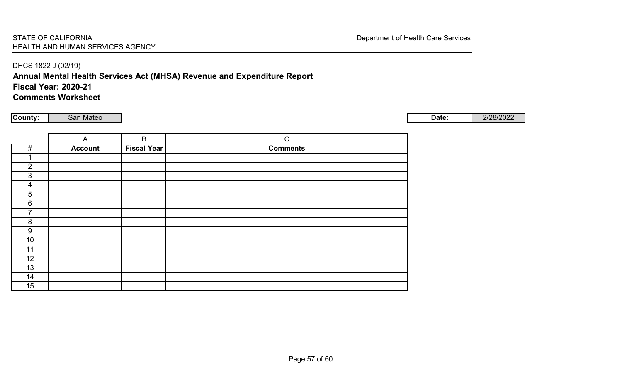## DHCS 1822 J (02/19) **Annual Mental Health Services Act (MHSA) Revenue and Expenditure Report Fiscal Year: 2020-21 Comments Worksheet**

**County: | San Mateo | 2/28/2022** 

|                | $\overline{A}$ | $\mathsf B$        | $\mathsf{C}$    |
|----------------|----------------|--------------------|-----------------|
| #              | <b>Account</b> | <b>Fiscal Year</b> | <b>Comments</b> |
|                |                |                    |                 |
| $\overline{2}$ |                |                    |                 |
| $\mathbf{3}$   |                |                    |                 |
| 4              |                |                    |                 |
| $\overline{5}$ |                |                    |                 |
| $6\phantom{1}$ |                |                    |                 |
| 7              |                |                    |                 |
| 8              |                |                    |                 |
| 9              |                |                    |                 |
| 10             |                |                    |                 |
| 11             |                |                    |                 |
| 12             |                |                    |                 |
| 13             |                |                    |                 |
| 14             |                |                    |                 |
| 15             |                |                    |                 |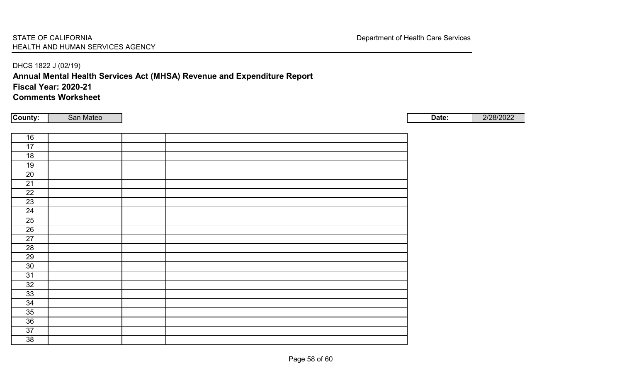## DHCS 1822 J (02/19) **Annual Mental Health Services Act (MHSA) Revenue and Expenditure Report Fiscal Year: 2020-21 Comments Worksheet**

**County: | San Mateo | 2/28/2022** 

| 16              |  |  |
|-----------------|--|--|
| 17              |  |  |
| 18              |  |  |
| 19              |  |  |
| 20              |  |  |
| 21              |  |  |
| 22              |  |  |
| 23              |  |  |
| 24              |  |  |
| 25              |  |  |
| 26              |  |  |
| 27              |  |  |
| $\overline{28}$ |  |  |
| 29              |  |  |
| $30\,$          |  |  |
| 31              |  |  |
| 32              |  |  |
| 33              |  |  |
| 34              |  |  |
| 35              |  |  |
| 36              |  |  |
| 37              |  |  |
| 38              |  |  |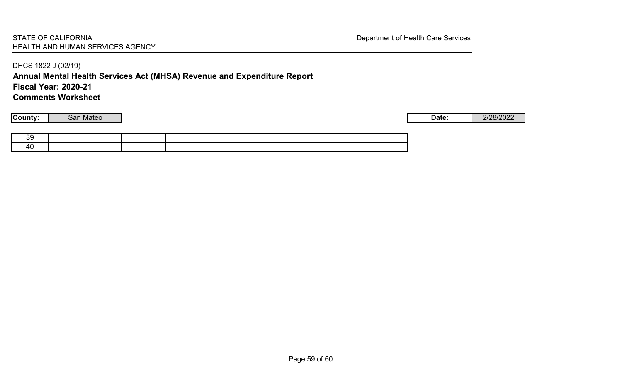DHCS 1822 J (02/19) **Annual Mental Health Services Act (MHSA) Revenue and Expenditure Report Fiscal Year: 2020-21 Comments Worksheet**

**County: | San Mateo | 2/28/2022**